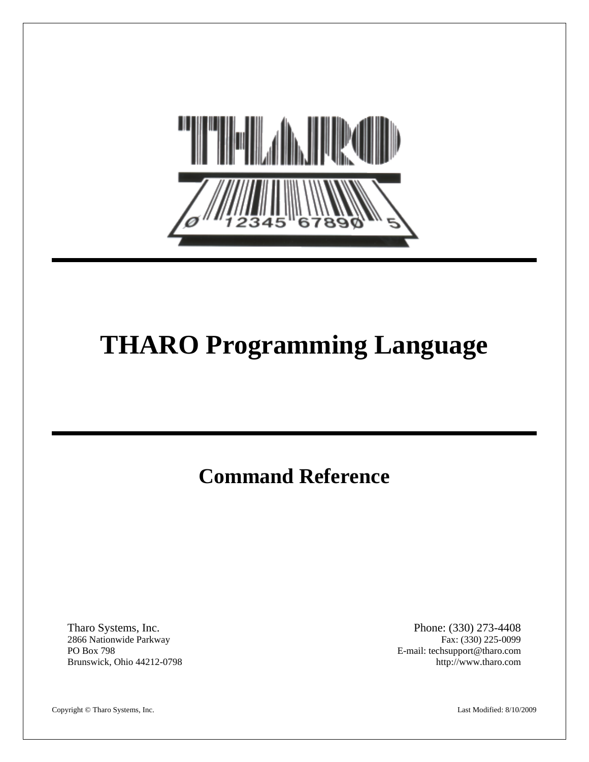

# **THARO Programming Language**

**Command Reference** 

Tharo Systems, Inc. 2866 Nationwide Parkway PO Box 798 Brunswick, Ohio 44212-0798

Phone: (330) 273-4408 Fax: (330) 225-0099 E-mail: techsupport@tharo.com http://www.tharo.com

Copyright © Tharo Systems, Inc. Last Modified: 8/10/2009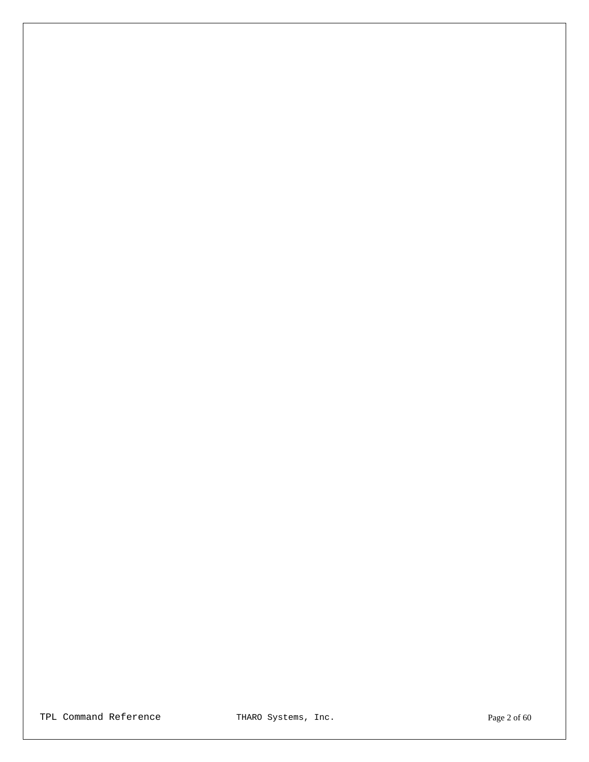TPL Command Reference THARO Systems, Inc. Page 2 of 60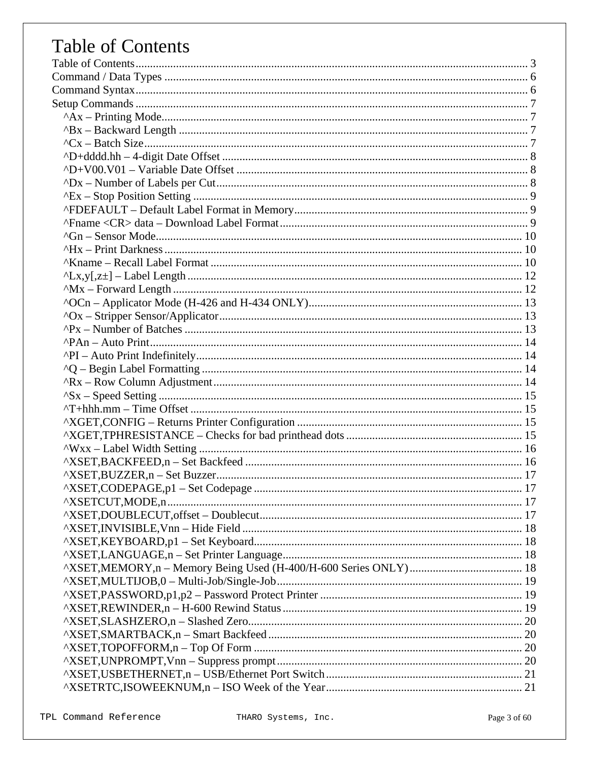# <span id="page-2-0"></span>**Table of Contents**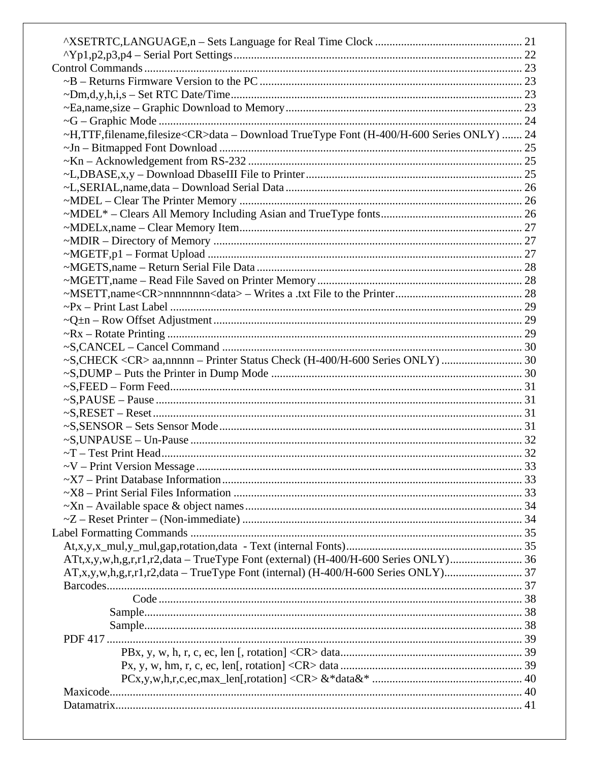| ~H,TTF,filename,filesize <cr>data - Download TrueType Font (H-400/H-600 Series ONLY)  24</cr> |  |
|-----------------------------------------------------------------------------------------------|--|
|                                                                                               |  |
|                                                                                               |  |
|                                                                                               |  |
|                                                                                               |  |
|                                                                                               |  |
|                                                                                               |  |
|                                                                                               |  |
|                                                                                               |  |
|                                                                                               |  |
|                                                                                               |  |
|                                                                                               |  |
|                                                                                               |  |
|                                                                                               |  |
|                                                                                               |  |
|                                                                                               |  |
|                                                                                               |  |
|                                                                                               |  |
|                                                                                               |  |
|                                                                                               |  |
|                                                                                               |  |
|                                                                                               |  |
|                                                                                               |  |
|                                                                                               |  |
|                                                                                               |  |
|                                                                                               |  |
|                                                                                               |  |
|                                                                                               |  |
|                                                                                               |  |
|                                                                                               |  |
|                                                                                               |  |
|                                                                                               |  |
|                                                                                               |  |
| ATt,x,y,w,h,g,r,r1,r2,data - TrueType Font (external) (H-400/H-600 Series ONLY) 36            |  |
|                                                                                               |  |
|                                                                                               |  |
|                                                                                               |  |
|                                                                                               |  |
|                                                                                               |  |
|                                                                                               |  |
|                                                                                               |  |
|                                                                                               |  |
|                                                                                               |  |
|                                                                                               |  |
|                                                                                               |  |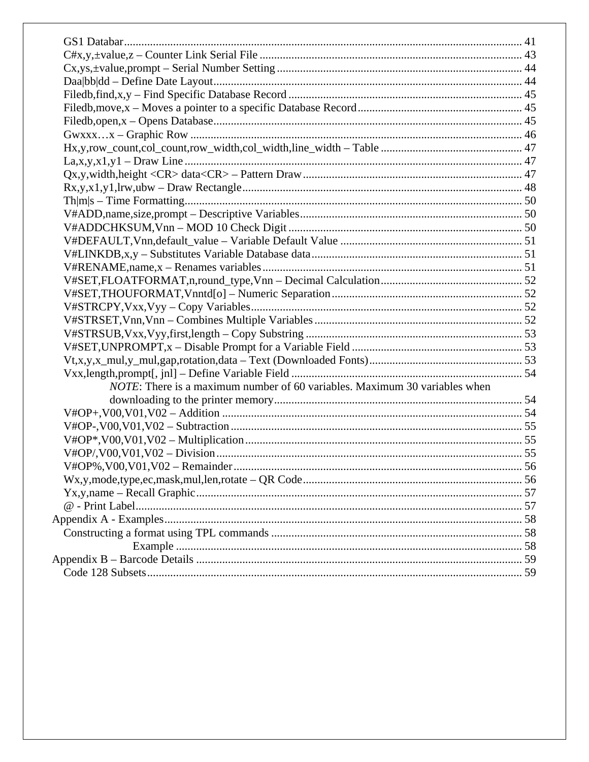| <i>NOTE</i> : There is a maximum number of 60 variables. Maximum 30 variables when |  |
|------------------------------------------------------------------------------------|--|
|                                                                                    |  |
|                                                                                    |  |
|                                                                                    |  |
|                                                                                    |  |
|                                                                                    |  |
|                                                                                    |  |
|                                                                                    |  |
|                                                                                    |  |
|                                                                                    |  |
|                                                                                    |  |
|                                                                                    |  |
|                                                                                    |  |
|                                                                                    |  |
|                                                                                    |  |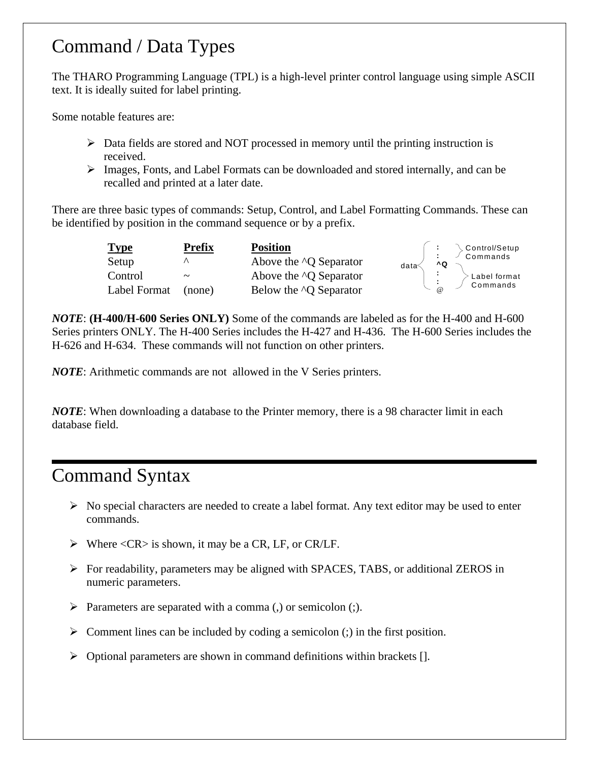# <span id="page-5-0"></span>Command / Data Types

The THARO Programming Language (TPL) is a high-level printer control language using simple ASCII text. It is ideally suited for label printing.

Some notable features are:

- $\triangleright$  Data fields are stored and NOT processed in memory until the printing instruction is received.
- $\triangleright$  Images, Fonts, and Label Formats can be downloaded and stored internally, and can be recalled and printed at a later date.

There are three basic types of commands: Setup, Control, and Label Formatting Commands. These can be identified by position in the command sequence or by a prefix.

| <b>Type</b>         | <b>Prefix</b>         | <b>Position</b>                                         |       |    | $\begin{array}{ccc} & : & \hspace{0.1 cm} & \hspace{0.1 cm} & \hspace{0.1 cm} & \hspace{0.1 cm} & \hspace{0.1 cm} & \hspace{0.1 cm} & \hspace{0.1 cm} & \hspace{0.1 cm} & \hspace{0.1 cm} & \hspace{0.1 cm} & \hspace{0.1 cm} & \hspace{0.1 cm} & \hspace{0.1 cm} & \hspace{0.1 cm} & \hspace{0.1 cm} & \hspace{0.1 cm} & \hspace{0.1 cm} & \hspace{0.1 cm} & \hspace{0.1 cm} & \hspace{0.1 cm} & \hspace{0.1 cm} &$ |
|---------------------|-----------------------|---------------------------------------------------------|-------|----|----------------------------------------------------------------------------------------------------------------------------------------------------------------------------------------------------------------------------------------------------------------------------------------------------------------------------------------------------------------------------------------------------------------------|
| Setup               | ∧                     | Above the <sup><math>\wedge</math></sup> O Separator    | data< | ^Q |                                                                                                                                                                                                                                                                                                                                                                                                                      |
| Control             | $\tilde{\phantom{a}}$ | Above the <sup><math>\triangle</math></sup> Q Separator |       |    | $\begin{array}{ccc}\n&\vdots\\ &\swarrow\\ \hline\n&\circ\n\end{array}\n\begin{array}{c}\n\text{Label format}\\ \text{Commands}\n\end{array}$                                                                                                                                                                                                                                                                        |
| Label Format (none) |                       | Below the <sup><math>\wedge</math></sup> Q Separator    |       |    |                                                                                                                                                                                                                                                                                                                                                                                                                      |

*NOTE*: **(H-400/H-600 Series ONLY)** Some of the commands are labeled as for the H-400 and H-600 Series printers ONLY. The H-400 Series includes the H-427 and H-436. The H-600 Series includes the H-626 and H-634. These commands will not function on other printers.

*NOTE*: Arithmetic commands are not allowed in the V Series printers.

*NOTE*: When downloading a database to the Printer memory, there is a 98 character limit in each database field.

# Command Syntax

- $\triangleright$  No special characters are needed to create a label format. Any text editor may be used to enter commands.
- $\triangleright$  Where <CR> is shown, it may be a CR, LF, or CR/LF.
- $\triangleright$  For readability, parameters may be aligned with SPACES, TABS, or additional ZEROS in numeric parameters.
- $\triangleright$  Parameters are separated with a comma (,) or semicolon (;).
- $\triangleright$  Comment lines can be included by coding a semicolon (;) in the first position.
- $\triangleright$  Optional parameters are shown in command definitions within brackets [].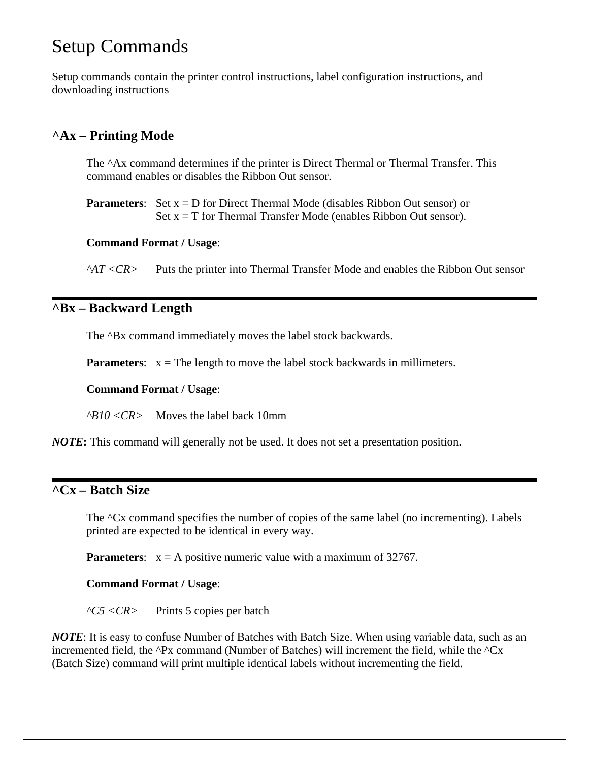# <span id="page-6-0"></span>Setup Commands

Setup commands contain the printer control instructions, label configuration instructions, and downloading instructions

# **^Ax – Printing Mode**

The  $\Delta x$  command determines if the printer is Direct Thermal or Thermal Transfer. This command enables or disables the Ribbon Out sensor.

**Parameters:** Set x = D for Direct Thermal Mode (disables Ribbon Out sensor) or Set  $x = T$  for Thermal Transfer Mode (enables Ribbon Out sensor).

#### **Command Format / Usage**:

*^AT <CR>* Puts the printer into Thermal Transfer Mode and enables the Ribbon Out sensor

# **^Bx – Backward Length**

The  $\Delta$ Bx command immediately moves the label stock backwards.

**Parameters:**  $x =$ The length to move the label stock backwards in millimeters.

#### **Command Format / Usage**:

*^B10 <CR>* Moves the label back 10mm

*NOTE***:** This command will generally not be used. It does not set a presentation position.

# **^Cx – Batch Size**

The <sup> $\Delta$ </sup>Cx command specifies the number of copies of the same label (no incrementing). Labels printed are expected to be identical in every way.

**Parameters:**  $x = A$  positive numeric value with a maximum of 32767.

#### **Command Format / Usage**:

*^C5 <CR>* Prints 5 copies per batch

*NOTE*: It is easy to confuse Number of Batches with Batch Size. When using variable data, such as an incremented field, the  $P_x$  command (Number of Batches) will increment the field, while the  $P_x$ (Batch Size) command will print multiple identical labels without incrementing the field.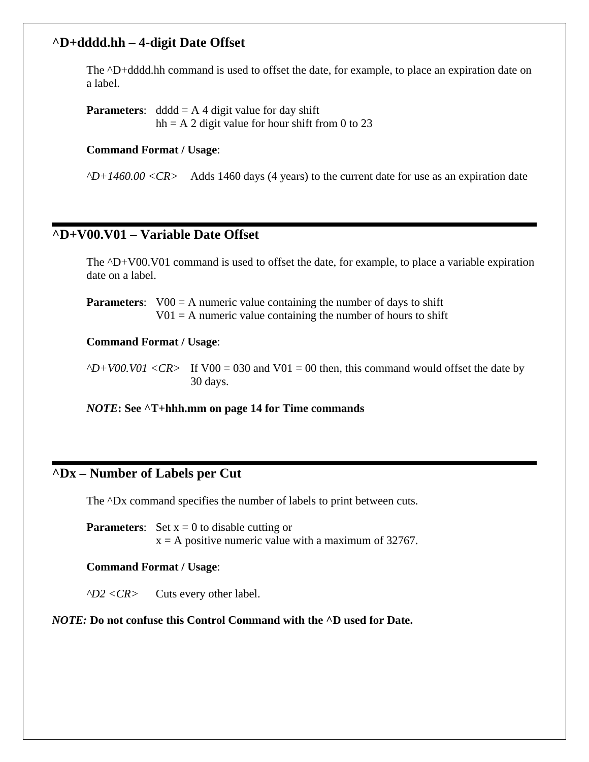# <span id="page-7-0"></span>**^D+dddd.hh – 4-digit Date Offset**

The  $\Delta D$ +dddd.hh command is used to offset the date, for example, to place an expiration date on a label.

**Parameters:**  $ddd = A 4$  digit value for day shift  $hh = A$  2 digit value for hour shift from 0 to 23

#### **Command Format / Usage**:

*^D+1460.00 <CR>* Adds 1460 days (4 years) to the current date for use as an expiration date

# **^D+V00.V01 – Variable Date Offset**

The  $\Delta D+V00.V01$  command is used to offset the date, for example, to place a variable expiration date on a label.

**Parameters:**  $V00 = A$  numeric value containing the number of days to shift  $V01 = A$  numeric value containing the number of hours to shift

**Command Format / Usage**:

 $\Delta D + V00$ .*V01 <CR*> If V00 = 030 and V01 = 00 then, this command would offset the date by 30 days.

*NOTE***: See ^T+hhh.mm on page 14 for Time commands** 

# **^Dx – Number of Labels per Cut**

The  $\Delta$ Dx command specifies the number of labels to print between cuts.

**Parameters:** Set  $x = 0$  to disable cutting or  $x = A$  positive numeric value with a maximum of 32767.

**Command Format / Usage**:

*^D2 <CR>* Cuts every other label.

#### *NOTE:* **Do not confuse this Control Command with the ^D used for Date.**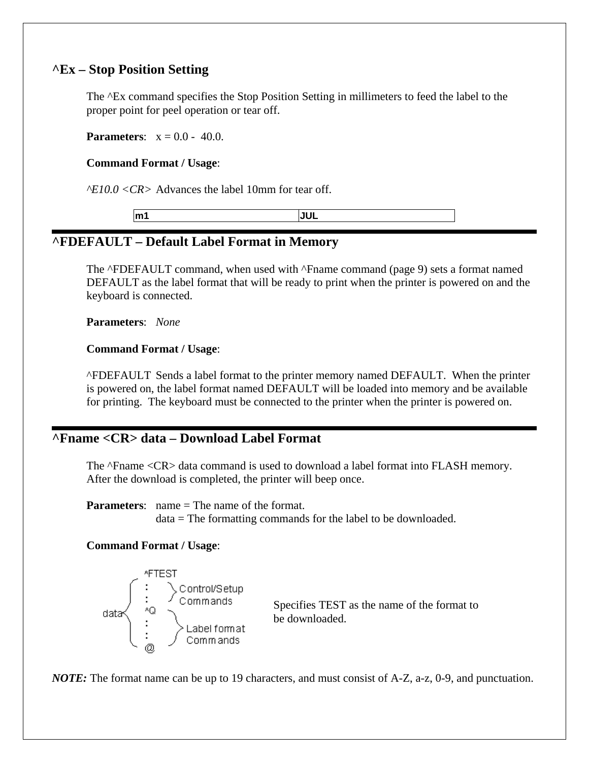# <span id="page-8-0"></span>**^Ex – Stop Position Setting**

The ^Ex command specifies the Stop Position Setting in millimeters to feed the label to the proper point for peel operation or tear off.

**Parameters:**  $x = 0.0 - 40.0$ .

#### **Command Format / Usage**:

*^E10.0 <CR>* Advances the label 10mm for tear off.

**m1 JUL** 

# **^FDEFAULT – Default Label Format in Memory**

The ^FDEFAULT command, when used with ^Fname command (page 9) sets a format named DEFAULT as the label format that will be ready to print when the printer is powered on and the keyboard is connected.

**Parameters**: *None* 

**Command Format / Usage**:

^FDEFAULT Sends a label format to the printer memory named DEFAULT. When the printer is powered on, the label format named DEFAULT will be loaded into memory and be available for printing. The keyboard must be connected to the printer when the printer is powered on.

# **^Fname <CR> data – Download Label Format**

The  $\alpha$ Fname <CR> data command is used to download a label format into FLASH memory. After the download is completed, the printer will beep once.

**Parameters:** name = The name of the format. data = The formatting commands for the label to be downloaded.

#### **Command Format / Usage**:



*NOTE:* The format name can be up to 19 characters, and must consist of A-Z, a-z, 0-9, and punctuation.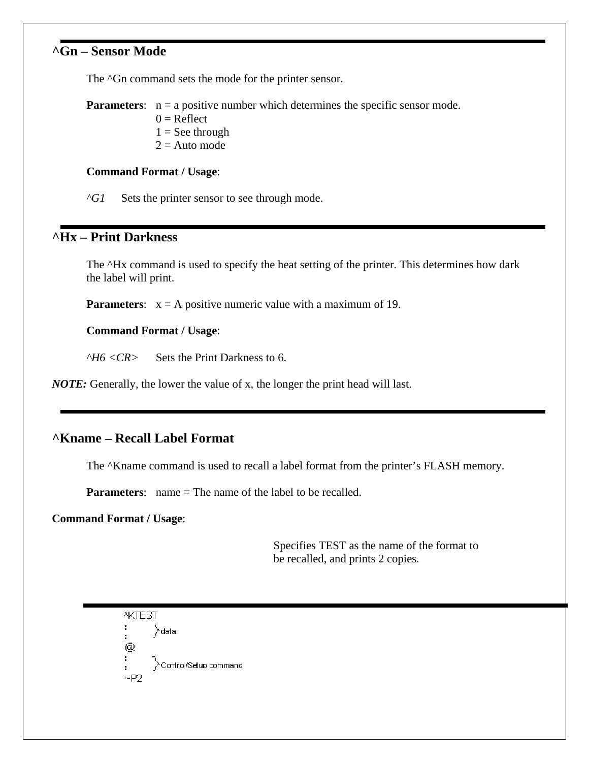# <span id="page-9-0"></span>**^Gn – Sensor Mode**

The  $\alpha$ Gn command sets the mode for the printer sensor.

**Parameters:**  $n = a$  positive number which determines the specific sensor mode.

- $0 = \text{Reflect}$  $1 =$  See through
- $2 =$  Auto mode

#### **Command Format / Usage**:

*^G1* Sets the printer sensor to see through mode.

# **^Hx – Print Darkness**

The  $\Delta$ Hx command is used to specify the heat setting of the printer. This determines how dark the label will print.

**Parameters:**  $x = A$  positive numeric value with a maximum of 19.

#### **Command Format / Usage**:

*^H6 <CR>* Sets the Print Darkness to 6.

*NOTE:* Generally, the lower the value of x, the longer the print head will last.

# **^Kname – Recall Label Format**

The  $\Delta$ Kname command is used to recall a label format from the printer's FLASH memory.

**Parameters:** name = The name of the label to be recalled.

**Command Format / Usage**:

Specifies TEST as the name of the format to be recalled, and prints 2 copies.

**AKTEST** ≻data @ ∑Control/Setup command  $-P2$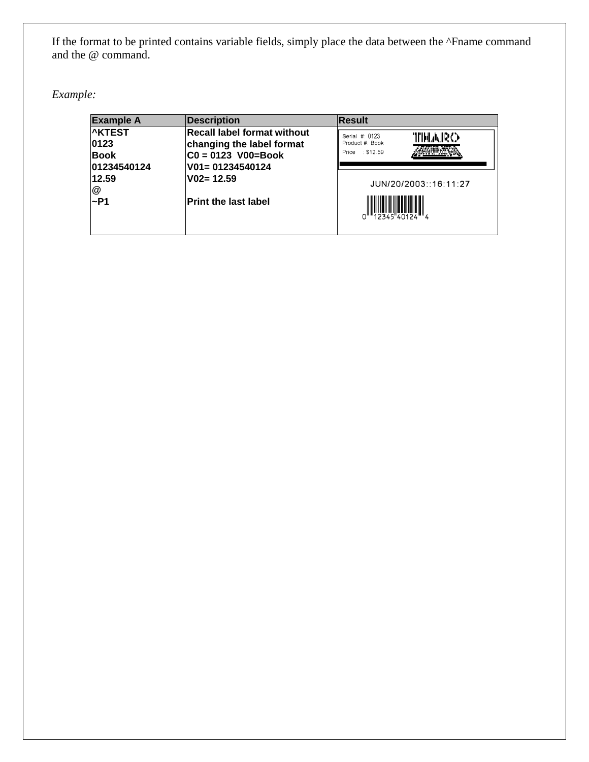If the format to be printed contains variable fields, simply place the data between the  $\Delta$ Fname command and the @ command.

*Example:* 

| <b>Example A</b>                     | <b>Description</b>                                                                | <b>Result</b>                                                    |  |  |
|--------------------------------------|-----------------------------------------------------------------------------------|------------------------------------------------------------------|--|--|
| <b>AKTEST</b><br>0123<br><b>Book</b> | Recall label format without<br>changing the label format<br>$ CO = 0123$ V00=Book | TIHLAJRO<br>Serial #: 0123<br>Product #: Book<br>Price : \$12.59 |  |  |
| 01234540124<br>12.59<br>@            | V01= 01234540124<br>lV02= 12.59                                                   | JUN/20/2003::16:11:27                                            |  |  |
| $ -P1$                               | <b>Print the last label</b>                                                       |                                                                  |  |  |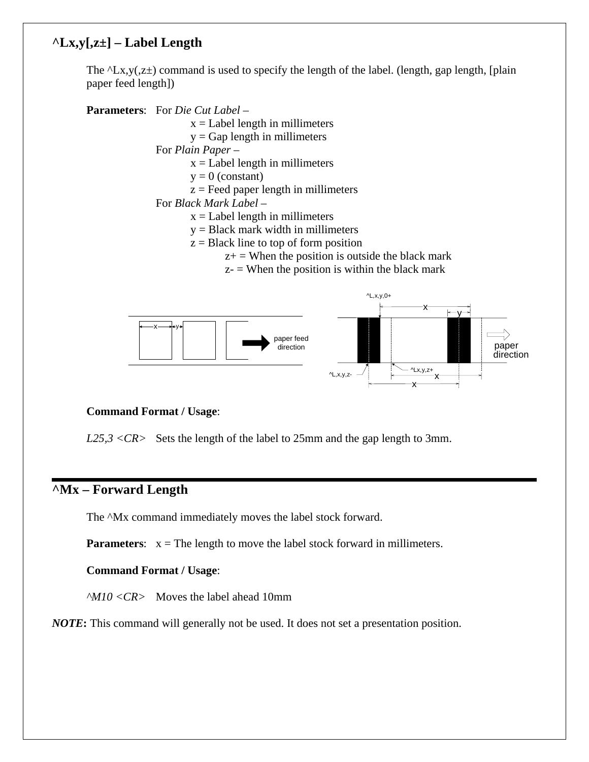# <span id="page-11-0"></span>**^Lx,y[,z±] – Label Length**

The  $\Delta$ Lx,y(,z $\pm$ ) command is used to specify the length of the label. (length, gap length, [plain] paper feed length])



 $x =$ Label length in millimeters

 $y = Gap$  length in millimeters

For *Plain Paper* –

 $x =$ Label length in millimeters

 $y = 0$  (constant)

 $z =$  Feed paper length in millimeters

For *Black Mark Label* –

- $x =$ Label length in millimeters
- y = Black mark width in millimeters
- $z = Black$  line to top of form position
	- $z+=$  When the position is outside the black mark
		- $z -$  When the position is within the black mark



#### **Command Format / Usage**:

*L25,3 <CR>* Sets the length of the label to 25mm and the gap length to 3mm.

# **^Mx – Forward Length**

The  $^{\wedge}$ Mx command immediately moves the label stock forward.

**Parameters:**  $x =$ The length to move the label stock forward in millimeters.

#### **Command Format / Usage**:

*^M10 <CR>* Moves the label ahead 10mm

*NOTE***:** This command will generally not be used. It does not set a presentation position.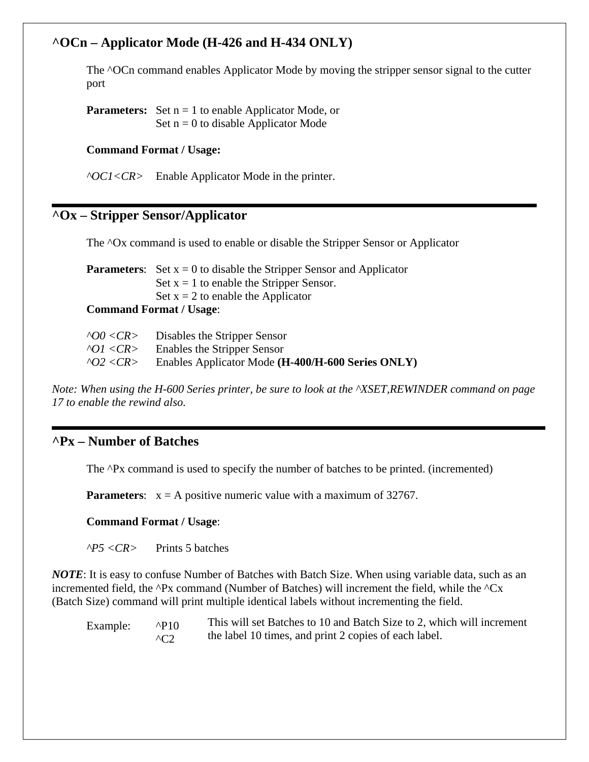# <span id="page-12-0"></span>**^OCn – Applicator Mode (H-426 and H-434 ONLY)**

The ^OCn command enables Applicator Mode by moving the stripper sensor signal to the cutter port

**Parameters:** Set  $n = 1$  to enable Applicator Mode, or Set  $n = 0$  to disable Applicator Mode

**Command Format / Usage:** 

*^OC1<CR>* Enable Applicator Mode in the printer.

# **^Ox – Stripper Sensor/Applicator**

The <sup>^</sup>Ox command is used to enable or disable the Stripper Sensor or Applicator

**Parameters:** Set  $x = 0$  to disable the Stripper Sensor and Applicator Set  $x = 1$  to enable the Stripper Sensor. Set  $x = 2$  to enable the Applicator

**Command Format / Usage**:

| $\triangle OQ \triangle C R$ | Disables the Stripper Sensor                                               |
|------------------------------|----------------------------------------------------------------------------|
| $\triangle$ Ol <cr></cr>     | <b>Enables the Stripper Sensor</b>                                         |
|                              | $\sim$ O2 < CR> Enables Applicator Mode ( <b>H-400/H-600 Series ONLY</b> ) |

*Note: When using the H-600 Series printer, be sure to look at the ^XSET,REWINDER command on page 17 to enable the rewind also.* 

# **^Px – Number of Batches**

The  $^{\circ}$ Px command is used to specify the number of batches to be printed. (incremented)

**Parameters:**  $x = A$  positive numeric value with a maximum of 32767.

**Command Format / Usage**:

*^P5 <CR>* Prints 5 batches

*NOTE*: It is easy to confuse Number of Batches with Batch Size. When using variable data, such as an incremented field, the  $P_{X}$  command (Number of Batches) will increment the field, while the  $P_{X}$ (Batch Size) command will print multiple identical labels without incrementing the field.

Example:  $^{\wedge}P10$  $\triangle$ C<sub>2</sub> This will set Batches to 10 and Batch Size to 2, which will increment the label 10 times, and print 2 copies of each label.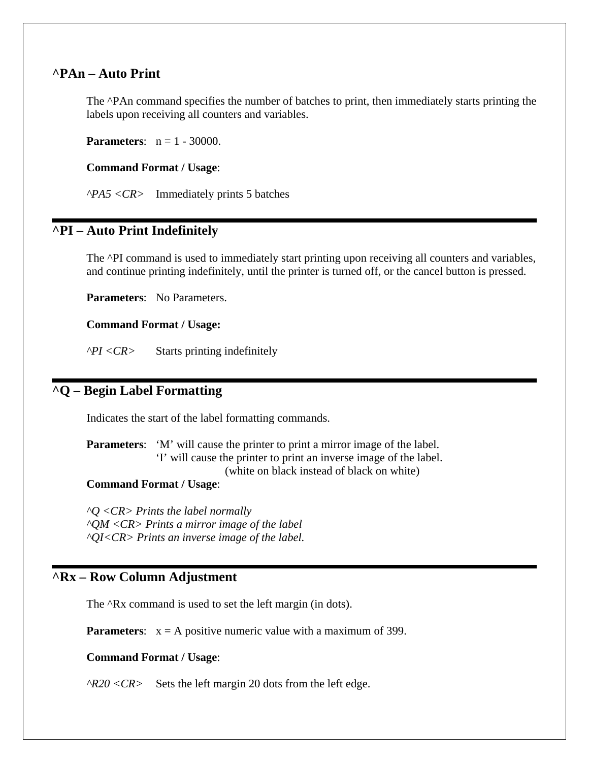### <span id="page-13-0"></span>**^PAn – Auto Print**

The ^PAn command specifies the number of batches to print, then immediately starts printing the labels upon receiving all counters and variables.

**Parameters:**  $n = 1 - 30000$ .

**Command Format / Usage**:

*^PA5 <CR>* Immediately prints 5 batches

# **^PI – Auto Print Indefinitely**

The ^PI command is used to immediately start printing upon receiving all counters and variables, and continue printing indefinitely, until the printer is turned off, or the cancel button is pressed.

**Parameters**: No Parameters.

**Command Format / Usage:** 

*^PI <CR>* Starts printing indefinitely

# **^Q – Begin Label Formatting**

Indicates the start of the label formatting commands.

**Parameters:** 'M' will cause the printer to print a mirror image of the label. 'I' will cause the printer to print an inverse image of the label. (white on black instead of black on white)

**Command Format / Usage**:

*^Q <CR> Prints the label normally ^QM <CR> Prints a mirror image of the label ^QI<CR> Prints an inverse image of the label.* 

# **^Rx – Row Column Adjustment**

The  $ARx$  command is used to set the left margin (in dots).

**Parameters:**  $x = A$  positive numeric value with a maximum of 399.

**Command Format / Usage**:

*^R20 <CR>* Sets the left margin 20 dots from the left edge.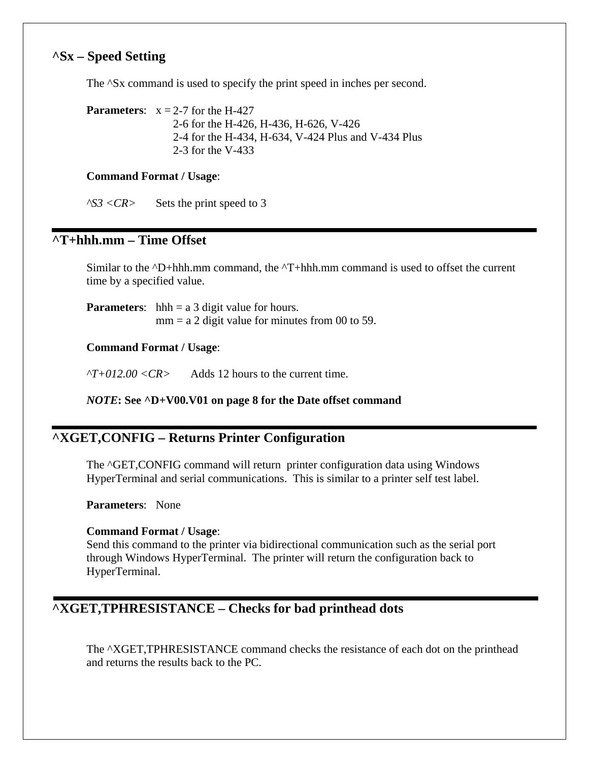# <span id="page-14-0"></span>**Sx – Speed Setting ^**

The  $^{\wedge}$ Sx command is used to specify the print speed in inches per second.

```
Parameters: x = 2-7 for the H-427
                 2-6 for the H-426, H-436, H-626, V-426 
                 2-4 for the H-434, H-634, V-424 Plus and V-434 Plus 
                 2-3 for the V-433
```
#### **Command Format / Usage**:

*^S3 <CR>* Sets the print speed to 3

# **T+hhh.mm – Time Offset ^**

Similar to the  $\Delta D$ +hhh.mm command, the  $\Delta T$ +hhh.mm command is used to offset the current time by a specified value.

**Parameters:**  $hhh = a 3$  digit value for hours.  $mm = a$  2 digit value for minutes from 00 to 59.

**Command Format / Usage**:

*^T+012.00 <CR>* Adds 12 hours to the current time.

*NOTE***: See ^D+V00.V01 on page 8 for the Date offset command** 

# **XGET,CONFIG – Returns Printer Configuration ^**

HyperTerminal and serial communications. This is similar to a printer self test label. The <sup>^</sup>GET,CONFIG command will return printer configuration data using Windows

**Parameters**: None

#### **Command Format / Usage**:

Send this command to the printer via bidirectional communication such as the serial port through Windows HyperTerminal. The printer will return the configuration back to HyperTerminal.

# **XGE ,TPHRESISTANCE – Checks for bad printhead dots ^ T**

The ^XGET,TPHRESISTANCE command checks the resistance of each dot on the printhead . and returns the results back to the PC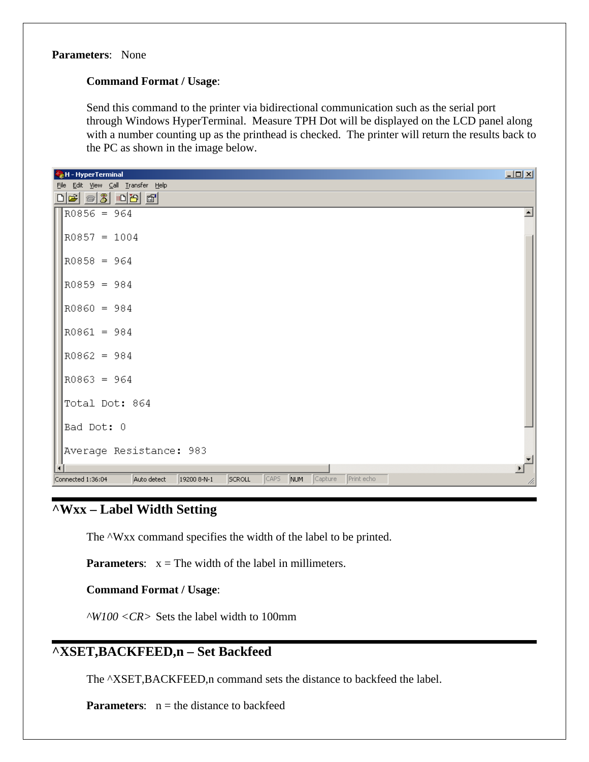#### <span id="page-15-0"></span>**arameters**: None **P**

#### **Command Format / Usage**:

with a number counting up as the printhead is checked. The printer will return the results back to the PC as shown in the image below. Send this command to the printer via bidirectional communication such as the serial port through Windows HyperTerminal. Measure TPH Dot will be displayed on the LCD panel along

| H - HyperTerminal                               |                       | $\Box$                |
|-------------------------------------------------|-----------------------|-----------------------|
| File Edit View Call Transfer Help               |                       |                       |
| $D$ $\rightarrow$ $B$ $D$ $B$ $B$               |                       |                       |
| $RO856 = 964$                                   |                       | $\blacktriangle$      |
| $RO857 = 1004$                                  |                       |                       |
| $RO858 = 964$                                   |                       |                       |
| $RO859 = 984$                                   |                       |                       |
| $RO860 = 984$                                   |                       |                       |
| $RO861 = 984$                                   |                       |                       |
| $RO862 = 984$                                   |                       |                       |
| $RO863 = 964$                                   |                       |                       |
| Total Dot: 864                                  |                       |                       |
| Bad Dot: 0                                      |                       |                       |
| Average Resistance: 983                         |                       |                       |
| Connected 1:36:04<br>Auto detect<br>19200 8-N-1 | CAPS<br>NUM<br>SCROLL | Capture<br>Print echo |

# **^Wxx – Label Width Setting**

The  $\Delta$ Wxx command specifies the width of the label to be printed.

**Parameters:**  $x =$ The width of the label in millimeters.

#### **Command Format / Usage**:

*^W100 <CR>* Sets the label width to 100mm

# **XSET,BACKFEED,n – Set Backfeed ^**

The  $\Delta XSET, BACKFEED, n$  command sets the distance to backfeed the label.

**Parameters:**  $n =$  the distance to backfeed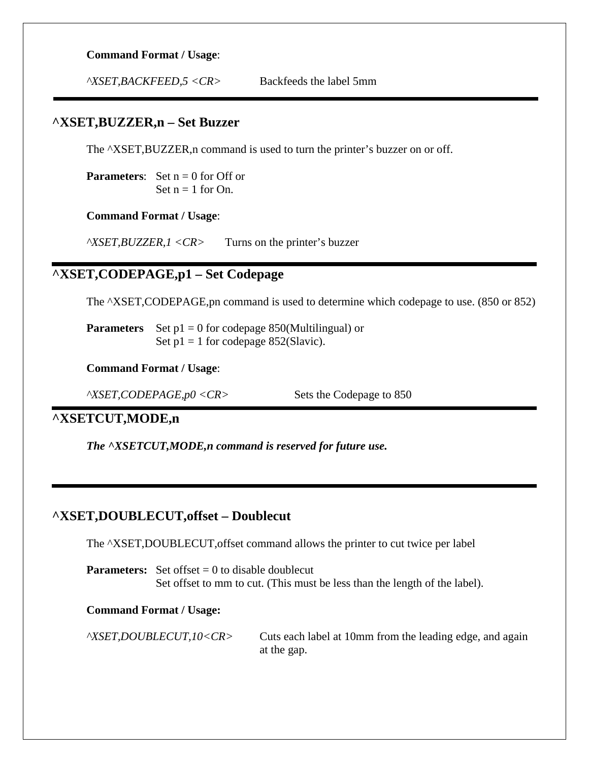#### <span id="page-16-0"></span>**Command Format / Usage**:

*^XSET,BACKFEED,5 <CR>* Backfeeds the label 5mm

#### **XSET,BUZZER,n – Set Buzzer ^**

The  $\Delta XSET$ , BUZZER, n command is used to turn the printer's buzzer on or off.

**Parameters:** Set  $n = 0$  for Off or Set  $n = 1$  for On.

**Command Format / Usage**:

*^XSET,BUZZER,1 <CR>* Turns on the printer's buzzer

# **XSET,CODEPAGE,p1 – Set Codepage ^**

The ^XSET, CODEPAGE, pn command is used to determine which codepage to use. (850 or 852)

**Parameters** Set  $p1 = 0$  for codepage 850(Multilingual) or Set  $p1 = 1$  for codepage 852(Slavic).

**Command Format / Usage**:

*^XSET,CODEPAGE,p0 <CR>* Sets the Codepage to 850

**XSE ^ TCUT,MODE,n** 

*The ^XSETCUT,MODE,n command is reserved for future use.* 

#### **XSET,DOUBLECUT,offset – Doublecut ^**

The  $\triangle$ XSET,DOUBLECUT, offset command allows the printer to cut twice per label

**Parameters:** Set offset  $= 0$  to disable doublecut Set offset to mm to cut. (This must be less than the length of the label).

**Command Format / Usage:** 

 $^{\wedge}XSET, DOUBLECT, 10 < CR$ 

Cuts each label at 10mm from the leading edge, and again at the gap.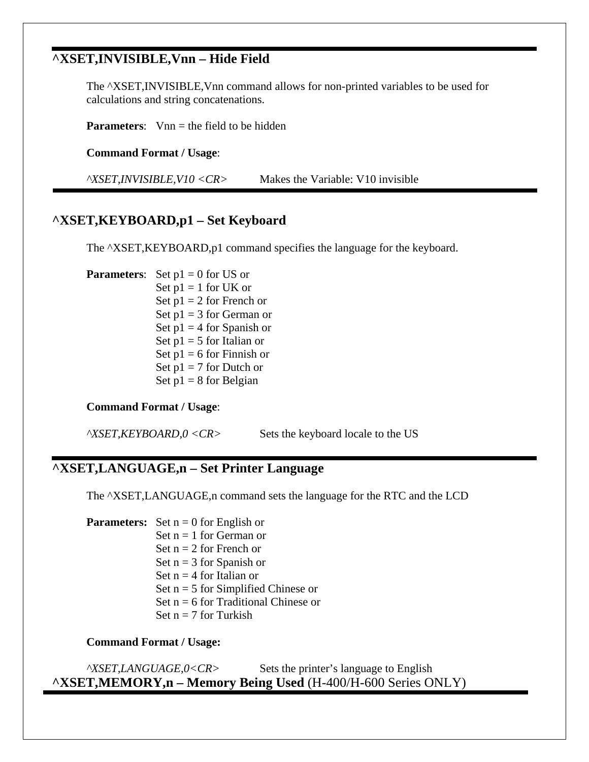# <span id="page-17-0"></span>**^XSET,INVISIBLE,Vnn – Hide Field**

The ^XSET,INVISIBLE,Vnn command allows for non-printed variables to be used for calculations and string concatenations.

**Parameters:** Vnn = the field to be hidden

**Command Format / Usage**:

Makes the Variable: V10 invisible *^XSET,INVISIBLE,V10 <CR>*

# $^{\wedge}$ **XSET,KEYBOARD,p1 – Set Keyboard**

The  $\Delta XSET, KEYBOARD, p1$  command specifies the language for the keyboard.

**Parameters:** Set  $p1 = 0$  for US or Set  $p1 = 3$  for German or Set  $p1 = 6$  for Finnish or Set  $p1 = 1$  for UK or Set  $p1 = 2$  for French or Set  $p1 = 4$  for Spanish or Set  $p1 = 5$  for Italian or Set  $p1 = 7$  for Dutch or Set  $p1 = 8$  for Belgian

#### **Command Format / Usage**:

*^XSET,KEYBOARD,0 <CR>* 

Sets the keyboard locale to the US

# **anguage ^XSET,LANGUAGE,n – Set Printer L**

The  $\triangle$ XSET,LANGUAGE,n command sets the language for the RTC and the LCD

**Parameters:** Set  $n = 0$  for English or Set  $n = 1$  for German or Set  $n = 2$  for French or Set  $n = 3$  for Spanish or Set  $n = 4$  for Italian or Set  $n = 5$  for Simplified Chinese or Set  $n = 6$  for Traditional Chinese or Set  $n = 7$  for Turkish

#### **Command Format / Usage:**

Sets the printer's language to English **^XSET,MEMORY,n – Memory Being Used** (H-400/H-600 Series ONLY) *^XSET,LANGUAGE,0<CR>*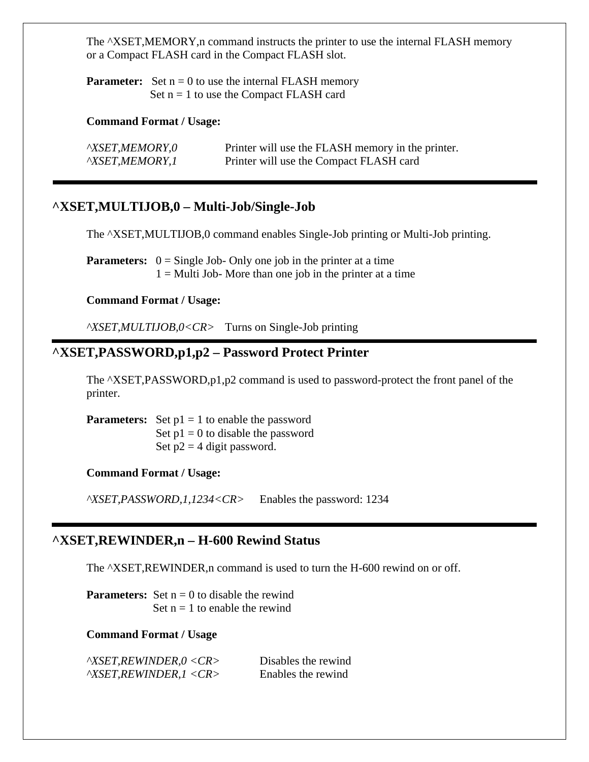<span id="page-18-0"></span>The ^XSET,MEMORY,n command instructs the printer to use the internal FLASH memory or a Compact FLASH card in the Compact FLASH slot.

Set  $n = 1$  to use the Compact FLASH card **Parameter:** Set  $n = 0$  to use the internal FLASH memory

#### **Command Format / Usage:**

| <i><b>^XSET,MEMORY,0</b></i> | Printer will use the FLASH memory in the printer. |
|------------------------------|---------------------------------------------------|
| <i><b>^XSET,MEMORY,1</b></i> | Printer will use the Compact FLASH card           |

#### **^XSET,MULTIJOB,0 – Multi-Job/Single-Job**

The ^XSET, MULTIJOB, 0 command enables Single-Job printing or Multi-Job printing.

**Parameters:**  $0 =$  Single Job- Only one job in the printer at a time  $1 =$  Multi Job- More than one job in the printer at a time

**Command Format / Usage:** 

*^XSET,MULTIJOB,0<CR>* Turns on Single-Job printing

# **^XSET,PASSWORD,p1,p2 – Password Protect Printer**

The ^XSET,PASSWORD,p1,p2 command is used to password-protect the front panel of the printer.

**Parameters:** Set  $p1 = 1$  to enable the password Set  $p2 = 4$  digit password. Set  $p1 = 0$  to disable the password

#### **Command Format / Usage:**

Enables the password: 1234 *^XSET,PASSWORD,1,1234<CR>* 

#### **XSET,REWINDER,n – H-600 Rewind Status ^**

The  $\triangle$ XSET, REWINDER, n command is used to turn the H-600 rewind on or off.

**Parameters:** Set  $n = 0$  to disable the rewind Set  $n = 1$  to enable the rewind

**Command Format / Usage** 

| $\land XSET, REWINDER, 0 < CR >$ | Disables the rewind |
|----------------------------------|---------------------|
| $\land XSET, REWINDER, 1 < CR$   | Enables the rewind  |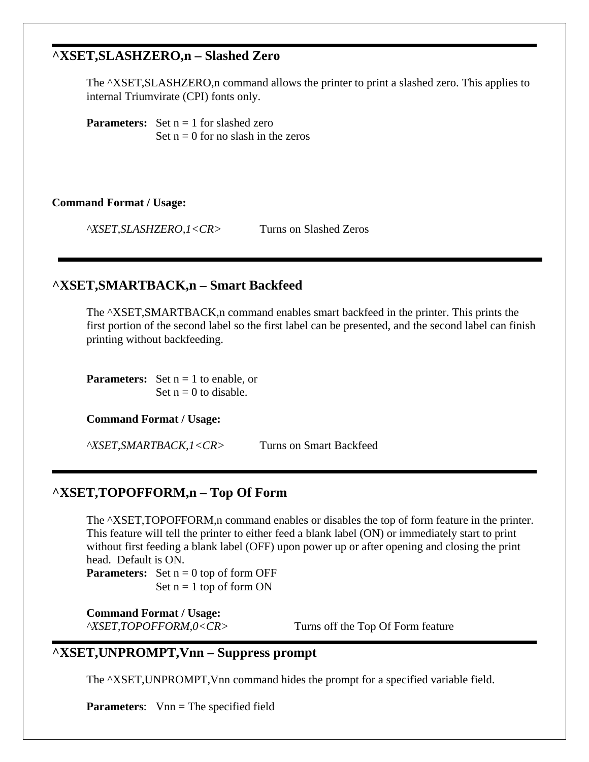# <span id="page-19-0"></span>**XSET,SLASHZERO,n – Slashed Zero ^**

The ^XSET, SLASHZERO, n command allows the printer to print a slashed zero. This applies to internal Triumvirate (CPI) fonts only.

**Parameters:** Set  $n = 1$  for slashed zero Set  $n = 0$  for no slash in the zeros

**Comm and Format / Usage:** 

*XSET,SLASHZERO,1<CR>* Turns on Slashed Zeros *^*

### **XSET,SMARTBACK,n – Smart Backfeed ^**

The  $\Delta XSET$ , SMARTBACK, n command enables smart backfeed in the printer. This prints the first portion of the second label so the first label can be presented, and the second label can finish printing without backfeeding.

**Parameters:** Set  $n = 1$  to enable, or Set  $n = 0$  to disable.

**Command Format / Usage:** 

Turns on Smart Backfeed  $\wedge XSET$ *,SMARTBACK,1<CR>* 

# $^{\wedge}$ **XSET,TOPOFFORM,n – Top Of Form**

The ^XSET,TOPOFFORM,n command enables or disables the top of form feature in the printer. This feature will tell the printer to either feed a blank label (ON) or immediately start to print without first feeding a blank label (OFF) upon power up or after opening and closing the print head. Default is ON.

**Parameters:** Set  $n = 0$  top of form OFF Set  $n = 1$  top of form ON

**Command Format / Usage:** 

*^XSET,TOPOFFORM,0<CR>* Turns off the Top Of Form feature

# **XSET,UNPROMPT,Vnn – Suppress prompt ^**

The  $\Delta XSET$ , UNPROMPT, Vnn command hides the prompt for a specified variable field.

**Parameters:** Vnn = The specified field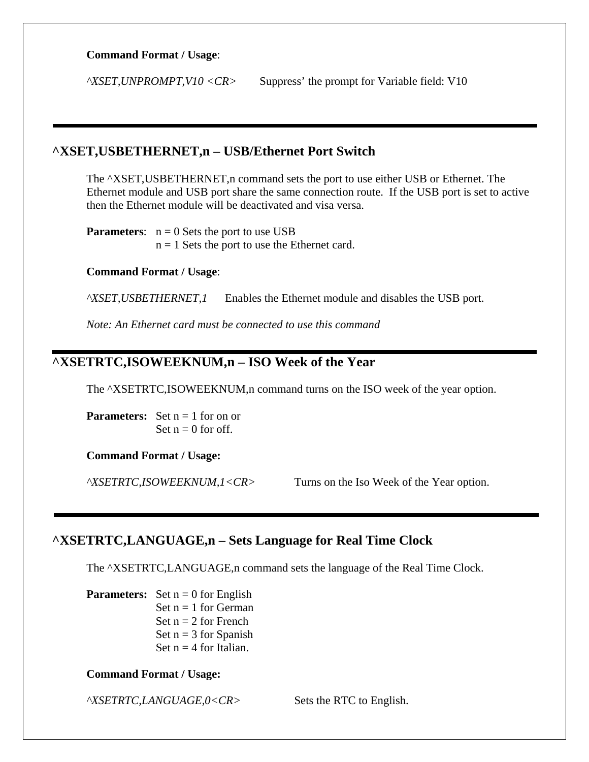#### <span id="page-20-0"></span>**Command Format / Usage**:

*^XSET,UNPROMPT,V10 <CR>* Suppress' the prompt for Variable field: V10

### **^XSET,USBETHERNET,n – USB/Ethernet Port Switch**

The ^XSET, USBETHERNET, n command sets the port to use either USB or Ethernet. The Ethernet module and USB port share the same connection route. If the USB port is set to active then the Ethernet module will be deactivated and visa versa.

**Parameters:**  $n = 0$  Sets the port to use USB  $n = 1$  Sets the port to use the Ethernet card.

#### **Command Format / Usage**:

*^XSET,USBETHERNET,1* Enables the Ethernet module and disables the USB port.

Note: An Ethernet card must be connected to use this command

# **<sup>** $\triangle$ **</sup>XSETRTC,ISOWEEKNUM,n – ISO Week of the Year**

The  $\Delta XSETRTC, ISOWEEKNUM, n command turns on the ISO week of the year option.$ 

**Parameters:** Set  $n = 1$  for on or Set  $n = 0$  for off.

**Command Format / Usage:** 

*^XSETRTC,ISOWEEKNUM,1<CR>* Turns on the Iso Week of the Year option.

# **^XSETRTC,LANGUAGE,n – Sets Language for Real Time Clock**

The ^XSETRTC, LANGUAGE, n command sets the language of the Real Time Clock.

**Parameters:** Set  $n = 0$  for English Set  $n = 3$  for Spanish Set  $n = 4$  for Italian. Set  $n = 1$  for German Set  $n = 2$  for French

#### **Command Format / Usage:**

*^XSETRTC,LANGUAGE,0<CR>* Sets the RTC to English.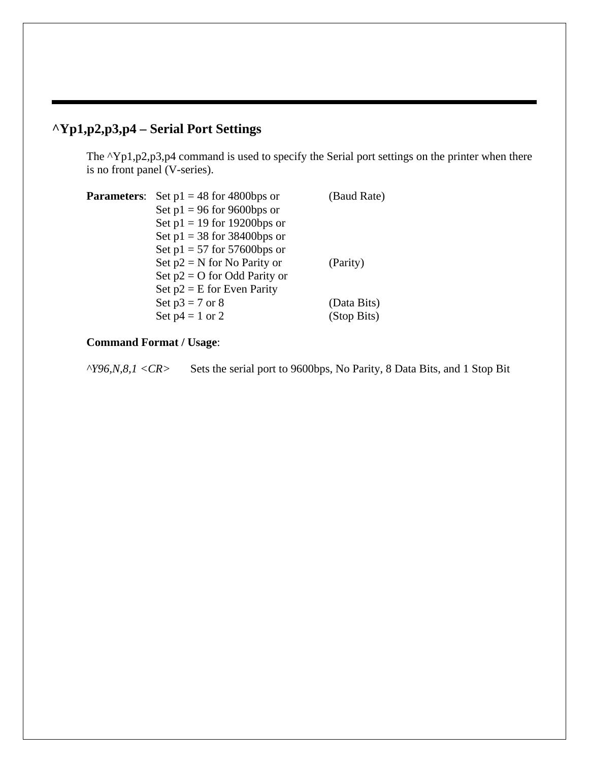# <span id="page-21-0"></span>**^Yp1 ,p2,p3,p4 – Serial Port Settings**

The  $'Yp1,p2,p3,p4$  command is used to specify the Serial port settings on the printer when there is no front panel (V-series).

| <b>Parameters:</b> | Set $p1 = 48$ for 4800bps or   | (Baud Rate) |
|--------------------|--------------------------------|-------------|
|                    | Set $p1 = 96$ for 9600bps or   |             |
|                    | Set $p1 = 19$ for 19200bps or  |             |
|                    | Set $p1 = 38$ for 38400bps or  |             |
|                    | Set $p1 = 57$ for 57600bps or  |             |
|                    | Set $p2 = N$ for No Parity or  | (Parity)    |
|                    | Set $p2 = O$ for Odd Parity or |             |
|                    | Set $p2 = E$ for Even Parity   |             |
|                    | Set $p3 = 7$ or 8              | (Data Bits) |
|                    | Set $p4 = 1$ or 2              | (Stop Bits) |

### **Command Format / Usage**:

*^Y96,N,8,1 <CR>* Sets the serial port to 9600bps, No Parity, 8 Data Bits, and 1 Stop Bit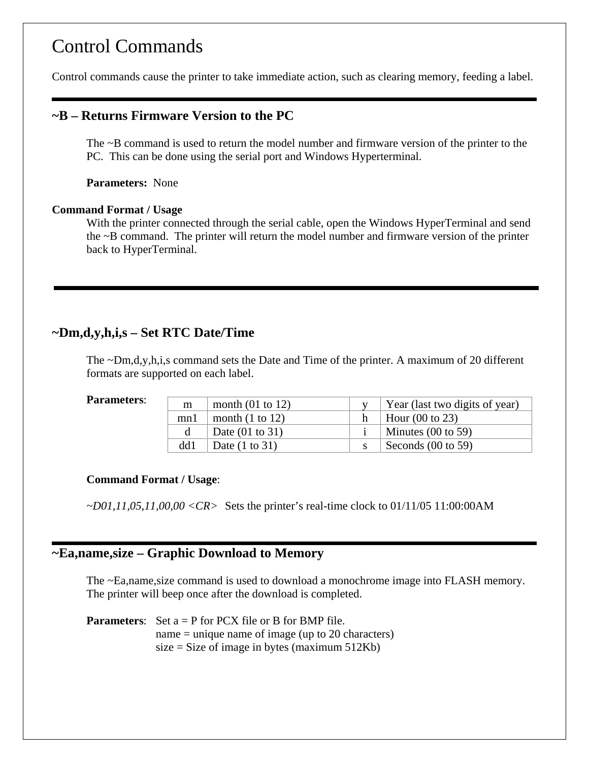# <span id="page-22-0"></span>Control Commands

Control commands cause the printer to take immediate action, such as clearing memory, feeding a label.

# **~B – Returns Firmware Version to the PC**

The ~B command is used to return the model number and firmware version of the printer to the PC. This can be done using the serial port and Windows Hyperterminal.

**Parameters:** None

#### **Command Format / Usage**

With the printer connected through the serial cable, open the Windows HyperTerminal and send the ~B command. The printer will return the model number and firmware version of the printer back to HyperTerminal.

# **~Dm,d,y,h,i,s – Set RTC Date/Time**

The ~Dm,d,y,h,i,s command sets the Date and Time of the printer. A maximum of 20 different formats are supported on each label.

| <b>Parameters:</b> | m   | month $(01$ to 12)         | Year (last two digits of year) |
|--------------------|-----|----------------------------|--------------------------------|
|                    | mnl | month $(1 to 12)$          | Hour $(00 \text{ to } 23)$     |
|                    |     | Date $(01 \text{ to } 31)$ | Minutes $(00 \text{ to } 59)$  |
|                    | dd1 | Date $(1 \text{ to } 31)$  | Seconds $(00 \text{ to } 59)$  |

#### **Command Format / Usage**:

*~D01,11,05,11,00,00 <CR>* Sets the printer's real-time clock to 01/11/05 11:00:00AM

# **~Ea,name,size – Graphic Download to Memory**

The ~Ea,name,size command is used to download a monochrome image into FLASH memory. The printer will beep once after the download is completed.

**Parameters:** Set  $a = P$  for PCX file or B for BMP file. name  $=$  unique name of image (up to 20 characters)  $size = Size of image in bytes (maximum 512Kb)$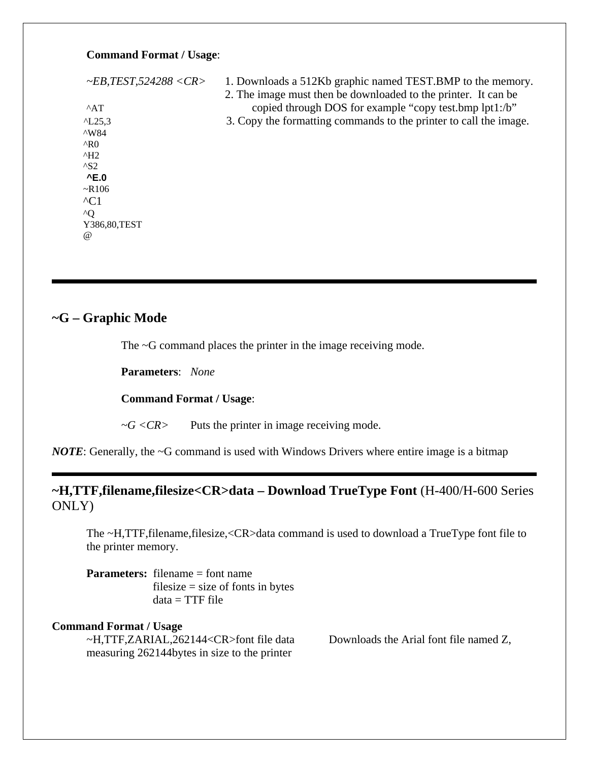#### **Command Format / Usage**:

<span id="page-23-0"></span>

| 1. Downloads a 512Kb graphic named TEST. BMP to the memory.       |
|-------------------------------------------------------------------|
| 2. The image must then be downloaded to the printer. It can be    |
| copied through DOS for example "copy test.bmp lpt1:/b"            |
| 3. Copy the formatting commands to the printer to call the image. |
|                                                                   |
|                                                                   |
|                                                                   |
|                                                                   |
|                                                                   |
|                                                                   |
|                                                                   |
|                                                                   |
|                                                                   |
|                                                                   |
|                                                                   |

# **G – Graphic Mode ~**

The ~G command places the printer in the image receiving mode.

**Parameters**: *None* 

**Command Format / Usage**:

~*G* <*CR*> Puts the printer in image receiving mode.

*NOTE*: Generally, the ~G command is used with Windows Drivers where entire image is a bitmap

# **filename,filesize<CR>data – Download TrueType Font** (H-400/H-600 Series **~H,TTF,** ONLY)

The ~H,TTF,filename,filesize,<CR>data command is used to download a TrueType font file to the printer memory.

 $filesize = size of fonts in bytes$  $data = TTF$  file **Parameters:** filename = font name

#### **Comm and Format / Usage**

measuring 262144bytes in size to the printer ~H,TTF,ZARIAL,262144<CR>font file data Downloads the Arial font file named Z,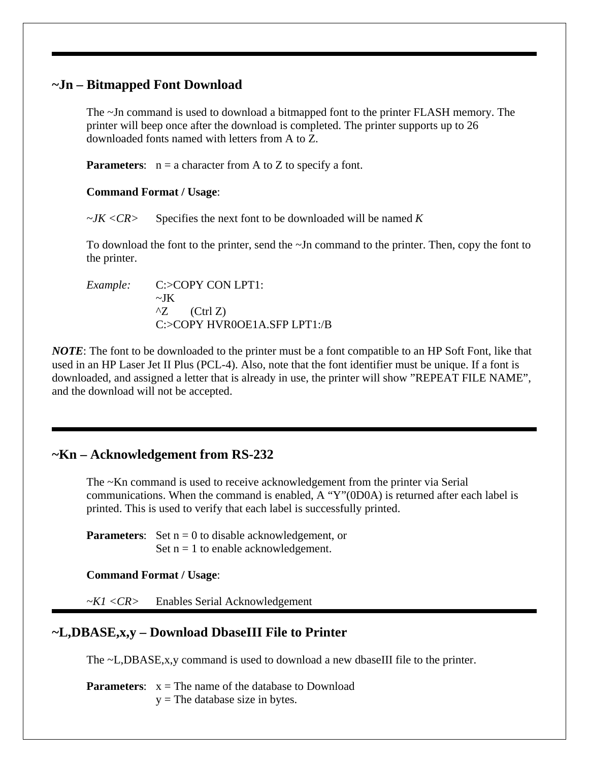#### <span id="page-24-0"></span>**~Jn – Bitmapped Font Download**

The ~Jn command is used to download a bitmapped font to the printer FLASH memory. The printer will beep once after the download is completed. The printer supports up to 26 downloaded fonts named with letters from A to Z.

**Parameters:**  $n = a$  character from A to Z to specify a font.

#### **Command Format / Usage**:

*~JK <CR>* Specifies the next font to be downloaded will be named *K* 

To download the font to the printer, send the ~Jn command to the printer. Then, copy the font to the printer.

*Example:* C:>COPY CON LPT1:  $\sim$ JK  $^{\wedge}Z$  (Ctrl Z) C:>COPY HVR0OE1A.SFP LPT1:/B

*NOTE*: The font to be downloaded to the printer must be a font compatible to an HP Soft Font, like that used in an HP Laser Jet II Plus (PCL-4). Also, note that the font identifier must be unique. If a font is downloaded, and assigned a letter that is already in use, the printer will show "REPEAT FILE NAME", and the download will not be accepted.

#### **~Kn – Acknowledgement from RS-232**

communications. When the command is enabled, A "Y"(0D0A) is returned after each label is printed. This is used to verify that each label is successfully printed. The ~Kn command is used to receive acknowledgement from the printer via Serial

**Parameters**: Set  $n = 0$  to disable acknowledgement, or Set  $n = 1$  to enable acknowledgement.

#### **Command Format / Usage:**

*~K1 <CR>* Enables Serial Acknowledgement

#### **L,DB ~ ASE,x,y – Download DbaseIII File to Printer**

The  $\sim$ L,DBASE,x,y command is used to download a new dbaseIII file to the printer.

**Parameters:**  $x =$  The name of the database to Download  $y$  = The database size in bytes.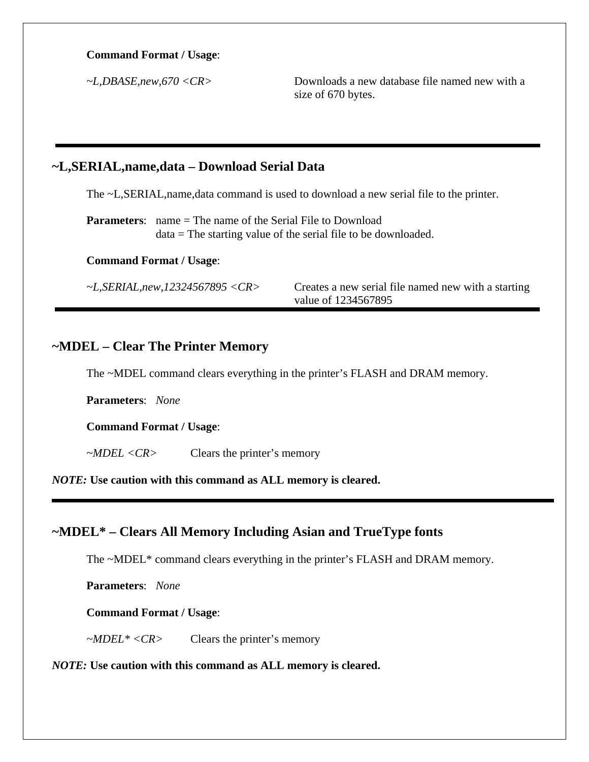#### <span id="page-25-0"></span>: **Command Format / Usage**

*~L,DBASE,new,670 <CR>* Downloads a new database file named new with a size of 670 bytes.

### **~L,SERIAL,name,data – Download Serial Data**

The ~L,SERIAL,name,data command is used to download a new serial file to the printer.

**Parameters:** name = The name of the Serial File to Download  $data =$  The starting value of the serial file to be downloaded.

#### **Command Format / Usage**:

 $-L$ , *SERIAL*, *new*, 12324567895 <*CR*>

*Creates a new serial file named new with a starting* value of 1234567895

# **~MDEL – Clear The Printer Memory**

The ~MDEL command clears everything in the printer's FLASH and DRAM memory.

**Parameters**: *None* 

**Command Format / Usage**:

*~MDEL <CR>* Clears the printer's memory

NOTE: Use caution with this command as ALL memory is cleared.

# **~MDEL\* – Clears All Memory Including Asian and TrueType fonts**

The  $\sim$ MDEL $*$  command clears everything in the printer's FLASH and DRAM memory.

**Parameters**: *None* 

#### **Command Format / Usage**:

*~MDEL\* <CR>* Clears the printer's memory

NOTE: Use caution with this command as ALL memory is cleared.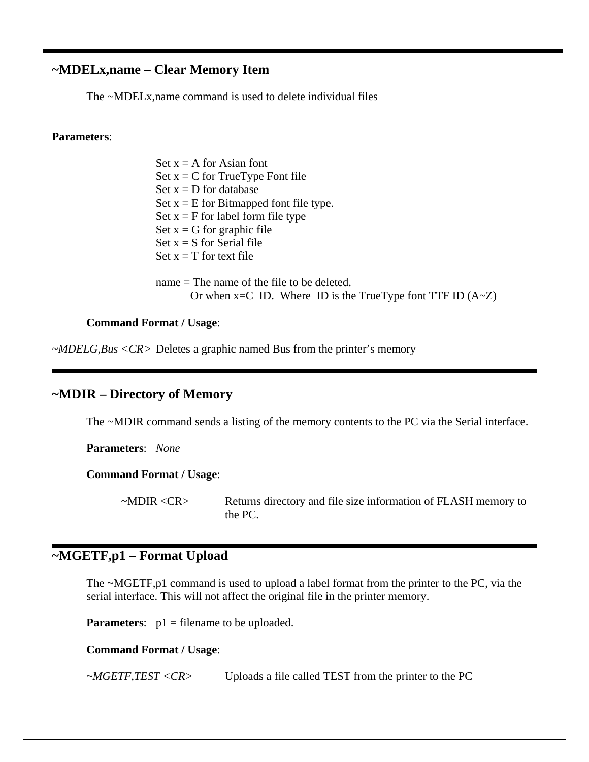# <span id="page-26-0"></span>**e – Clear Memory Item ~MDELx,nam**

The  $\sim$ MDELx, name command is used to delete individual files

#### **Parameters:**

Set  $x = C$  for TrueType Font file Set  $x = E$  for Bitmapped font file type. Set  $x = S$  for Serial file Set  $x = T$  for text file Set  $x = A$  for Asian font Set  $x = D$  for database Set  $x = F$  for label form file type Set  $x = G$  for graphic file name = The name of the file to be deleted.

Or when  $x=C$  ID. Where ID is the TrueType font TTF ID  $(A~Z)$ 

#### **Command Format / Usage**:

*~MDELG,Bus <CR>* Deletes a graphic named Bus from the printer's memory

#### **MDIR – Directory of Memory ~**

The ~MDIR command sends a listing of the memory contents to the PC via the Serial interface.

**Parameters**: *None* 

**Command Format / Usage**:

~MDIR <CR>
Returns directory and file size information of FLASH memory to the PC.

# **~MGETF,p1 – Format Upload**

The  $\sim MGETF$ ,p1 command is used to upload a label format from the printer to the PC, via the serial interface. This will not affect the original file in the printer memory.

**Parameters:**  $p1 =$  filename to be uploaded.

#### **Command Format / Usage**:

*~MGETF,TEST <CR>* Uploads a file called TEST from the printer to the PC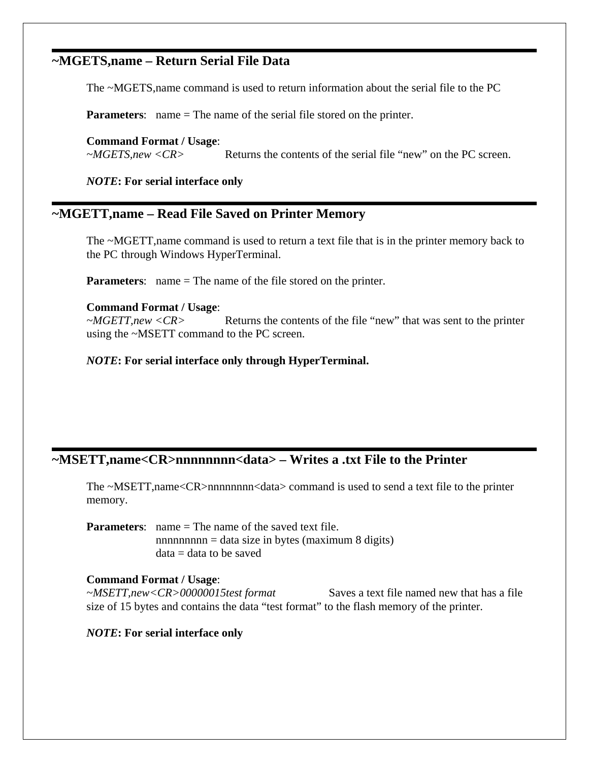# <span id="page-27-0"></span> $\sim$ MGETS,name – Return Serial File Data

The  $\sim$ MGETS, name command is used to return information about the serial file to the PC

**Parameters:** name = The name of the serial file stored on the printer.

~*MGETS,new <CR>* Returns the contents of the serial file "new" on the PC screen. **Command Format / Usage**:

*NOTE***: For serial interface only** 

# **~MGETT,name – Read File Saved on Printer Memory**

The ~MGETT,name command is used to return a text file that is in the printer memory back to the PC through Windows HyperTerminal.

**Parameters**: name = The name of the file stored on the printer.

#### **Command Format / Usage**:

*~MGETT,new <CR>* Returns the contents of the file "new" that was sent to the printer using the ~MSETT command to the PC screen.

*NOTE***: For serial interface only through HyperTerminal.** 

# **-MSETT, name<CR>nnnnnnnn<data> – Writes a .txt File to the Printer**

The ~MSETT,name<CR>nnnnnnnn<data> command is used to send a text file to the printer memory.

**Parameters:** name = The name of the saved text file.  $nnnnnnnn = data size in bytes (maximum 8 digits)$  $data = data to be saved$ 

#### **Command Format / Usage**:

Saves a text file named new that has a file size of 15 bytes and contains the data "test format" to the flash memory of the printer.  $-MSETT$ ,new<CR>00000015test format

*NOTE***: For serial interface only**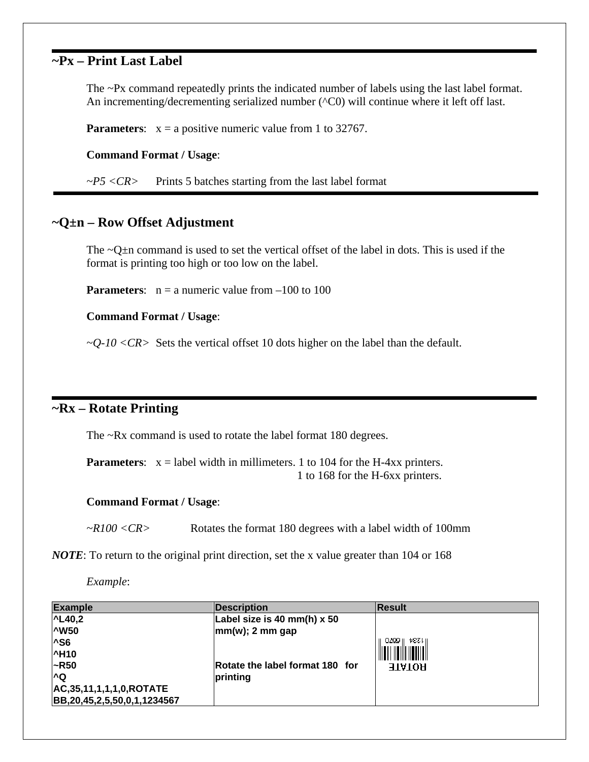#### <span id="page-28-0"></span>**Px – ~ Print Last Label**

The ~Px command repeatedly prints the indicated number of labels using the last label format. An incrementing/decrementing serialized number ( $\textdegree$ C0) will continue where it left off last.

**Parameters**:  $x = a$  positive numeric value from 1 to 32767.

**Command Format / Usage:** 

*~P5 <CR>* Prints 5 batches starting from the last label format

### **justment ~Q±n – Row Offset Ad**

The  $\sim Q \pm n$  command is used to set the vertical offset of the label in dots. This is used if the format is printing too high or too low on the label.

**Parameters**:  $n = a$  numeric value from  $-100$  to 100

**Command Format / Usage**:

*~Q-10 <CR>* Sets the vertical offset 10 dots higher on the label than the default.

# $\nu$ **Rx** – Rotate Printing

The  $\sim$ Rx command is used to rotate the label format 180 degrees.

**Parameters**:  $x =$  label width in millimeters. 1 to 104 for the H-4xx printers. 1 to 168 for the H-6xx printers.

#### **Command Format / Usage:**

 Rotates the format 180 degrees with a label width of 100mm *~R100 <CR>*

*NOTE*: To return to the original print direction, set the x value greater than 104 or 168

*Example*:

| <b>Example</b>                      | <b>Description</b>              | <b>Result</b>  |
|-------------------------------------|---------------------------------|----------------|
| $\mathsf{L}40,2$                    | Label size is 40 mm(h) x 50     |                |
| <b>MW50</b>                         | mm(w); 2 mm gap                 |                |
| $^{\text{A}}\text{S6}$              |                                 | U7334 HSZP     |
| <b>^H10</b>                         |                                 | $\blacksquare$ |
| $\sim$ R50                          | Rotate the label format 180 for | <b>EXPLATE</b> |
| l^Q                                 | printing                        |                |
| AC, 35, 11, 1, 1, 1, 0, ROTATE      |                                 |                |
| BB, 20, 45, 2, 5, 50, 0, 1, 1234567 |                                 |                |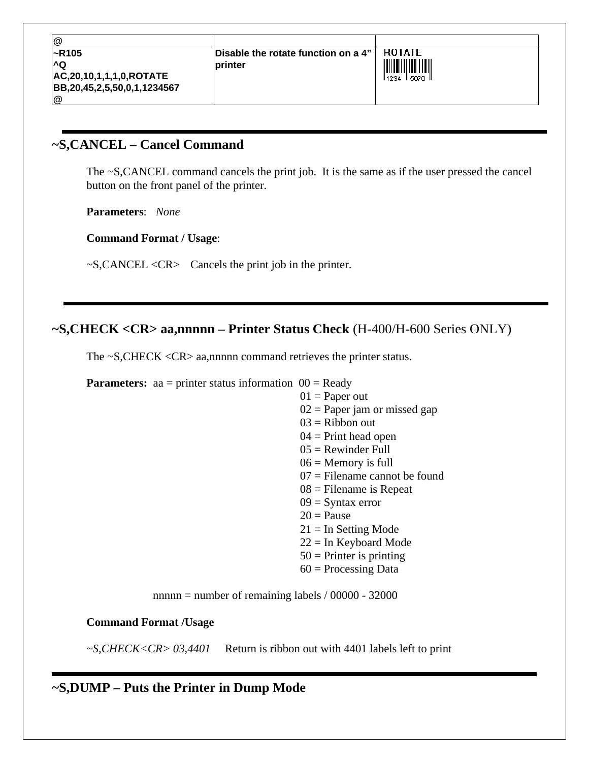

# <span id="page-29-0"></span>**~S,CANCEL – Cancel Command**

The ~S,CANCEL command cancels the print job. It is the same as if the user pressed the cancel button on the front panel of the printer.

**Parameters**: *None* 

**Command Format / Usage**:

 $-S, CANCEL < CR$  Cancels the print job in the printer.

# ~S,CHECK <CR> aa,nnnnn – Printer Status Check (H-400/H-600 Series ONLY)

The ~S,CHECK <CR> aa,nnnnn command retrieves the printer status.

**Parameters:**  $aa =$  printer status information  $00 =$  Ready

 $02$  = Paper jam or missed gap  $03 =$ Ribbon out  $04$  = Print head open  $06$  = Memory is full  $07 =$  Filename cannot be found  $08$  = Filename is Repeat  $09 =$  Syntax error  $21 =$  In Setting Mode  $22 =$  In Keyboard Mode  $50$  = Printer is printing  $60$  = Processing Data  $01$  = Paper out  $05 =$  Rewinder Full 07 08  $20 = \text{Pause}$ 

 $nnnn = number of remaining labels / 00000 - 32000$ 

#### **Command Format /Usage**

*~S,CHECK<CR> 03,4401* Return is ribbon out with 4401 labels left to print

# **S,DUMP – Puts the Printer in Dump Mode ~**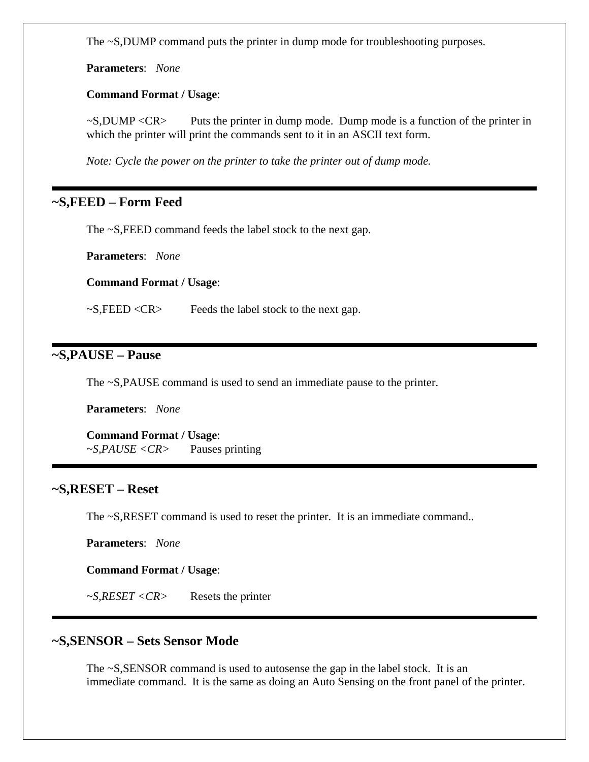<span id="page-30-0"></span>The ~S,DUMP command puts the printer in dump mode for troubleshooting purposes.

**Parameters**: *None* 

**Command Format / Usage**:

which the printer will print the commands sent to it in an ASCII text form.  $-S, DUMP < CR$  Puts the printer in dump mode. Dump mode is a function of the printer in

Note: Cycle the power on the printer to take the printer out of dump mode.

#### $\sim$ S,FEED – Form Feed

The  $\sim$ S, FEED command feeds the label stock to the next gap.

**Parameters**: *None* 

**Command Format / Usage**:

 $-S, FED < CR$  Feeds the label stock to the next gap.

### **S,PAUSE – Pause ~**

The ~S,PAUSE command is used to send an immediate pause to the printer.

**Parameters**: *None* 

**Command Format / Usage**: *~S,PAUSE <CR>* Pauses printing

# **~S,RESET – Reset**

The  $\sim$ S, RESET command is used to reset the printer. It is an immediate command..

**Parameters**: *None* 

**Command Format / Usage**:

Resets the printer  $-S, RESET < CR$ 

#### $\sim$ S,SENSOR – Sets Sensor Mode

The  $\sim$ S, SENSOR command is used to autosense the gap in the label stock. It is an immediate command. It is the same as doing an Auto Sensing on the front panel of the printer.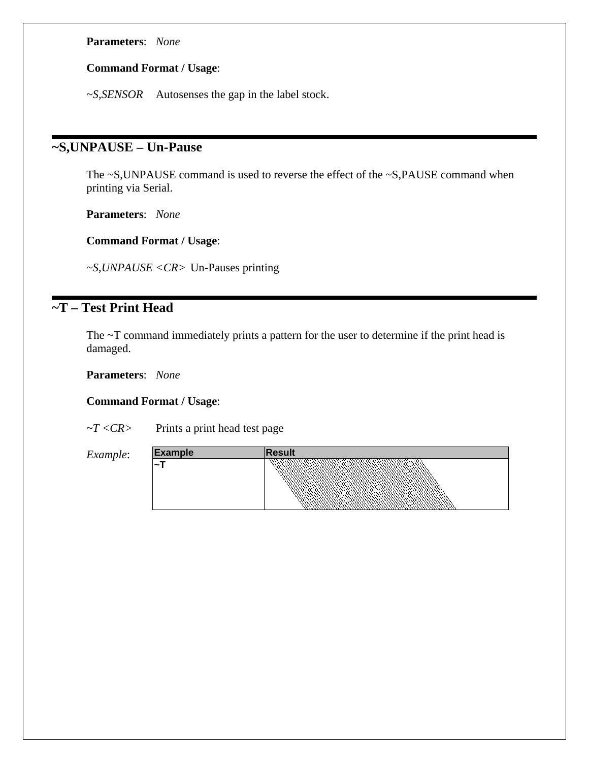<span id="page-31-0"></span>**Parameters**: *None* 

#### **Command Format / Usage**:

*~S,SENSOR* Autosenses the gap in the label stock.

### $\sim$ S,UNPAUSE – Un-Pause

The  $\sim$ S,UNPAUSE command is used to reverse the effect of the  $\sim$ S,PAUSE command when printing via Serial.

**Parameters**: *None* 

**Command Format / Usage**:

*~S,UNPAUSE <CR>* Un-Pauses printing

# **T – Test Print Head ~**

The ~T command immediately prints a pattern for the user to determine if the print head is damaged.

**Parameters**: *None* 

#### **Command Format / Usage**:

| $-T < CR$ |  | Prints a print head test page |  |
|-----------|--|-------------------------------|--|
|-----------|--|-------------------------------|--|

*Example*:

| <b>Example</b> | <b>Result</b> |
|----------------|---------------|
| $\tilde{}$     |               |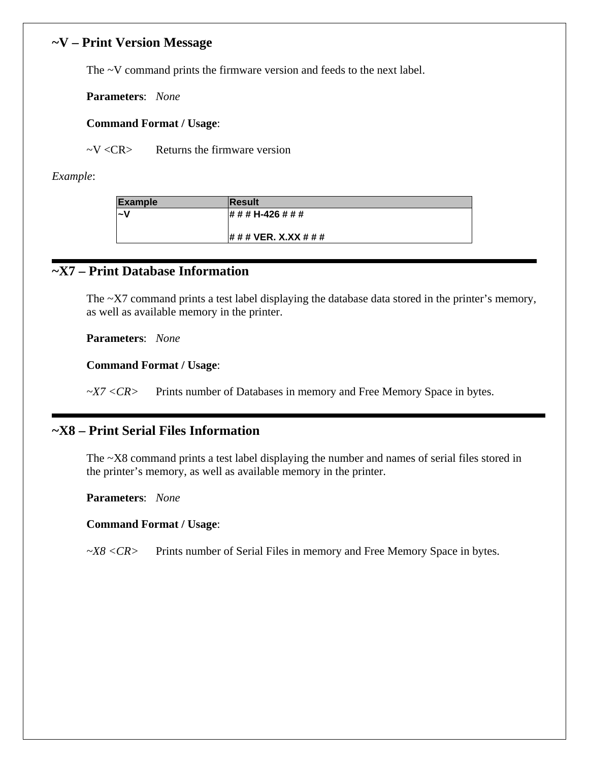# <span id="page-32-0"></span>**~V – Print Version Message**

The ~V command prints the firmware version and feeds to the next label.

**Parameters**: *None* 

#### **Command Format / Usage**:

 $\sim$ V  $\langle$ CR $>$  Returns the firmware version

*Example*:

| <b>Example</b> | <b>Result</b>                |
|----------------|------------------------------|
| ¦~N            | $\#$ # # H-426 # # #         |
|                |                              |
|                | $\sharp$ # # VER. X.XX # # # |

# **~X7 – Print Database Information**

The ~X7 command prints a test label displaying the database data stored in the printer's memory, as well as available memory in the printer.

**Parameters**: *None* 

**Command Format / Usage**:

*~X7 <CR>* Prints number of Databases in memory and Free Memory Space in bytes.

# **~X8 – Print Serial Files Information**

The ~X8 command prints a test label displaying the number and names of serial files stored in the printer's memory, as well as available memory in the printer.

**Parameters**: *None* 

#### **Command Format / Usage**:

*~X8 <CR>* Prints number of Serial Files in memory and Free Memory Space in bytes.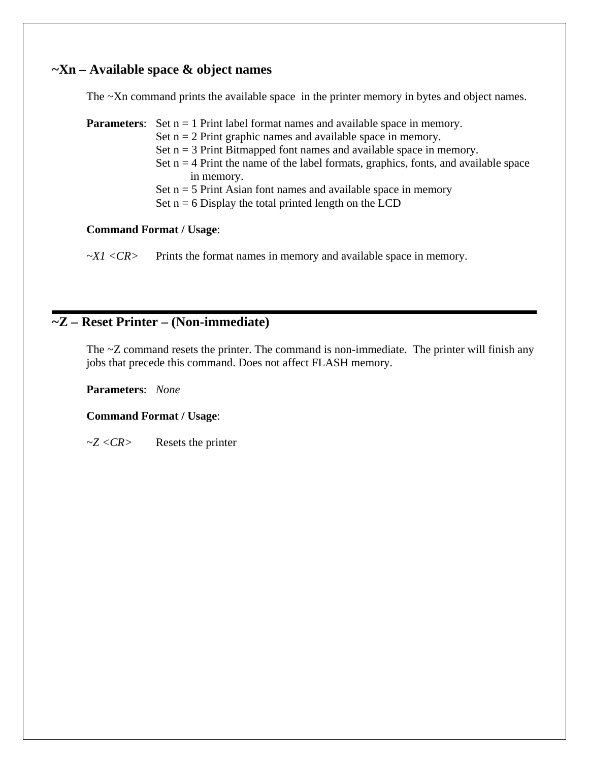# <span id="page-33-0"></span>**~Xn – Available space & object names**

The  $\sim$ Xn command prints the available space in the printer memory in bytes and object names.

**Parameters:** Set n = 1 Print label format names and available space in memory.

- Set  $n = 2$  Print graphic names and available space in memory.
- Set  $n = 3$  Print Bitmapped font names and available space in memory.
- Set  $n = 4$  Print the name of the label formats, graphics, fonts, and available space in memory.
- Set  $n = 5$  Print Asian font names and available space in memory
- Set  $n = 6$  Display the total printed length on the LCD

#### **Command Format / Usage**:

*~X1 <CR>* Prints the format names in memory and available space in memory.

# **~Z – Reset Printer – (Non-immediate)**

The  $\sim$ Z command resets the printer. The command is non-immediate. The printer will finish any jobs that precede this command. Does not affect FLASH memory.

**Parameters**: *None* 

#### **Command Format / Usage**:

*~Z <CR>* Resets the printer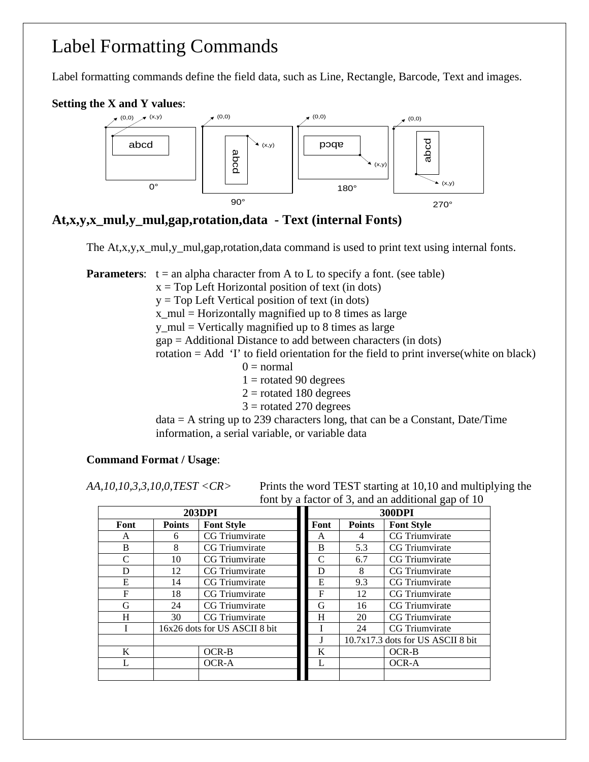# <span id="page-34-0"></span>Label Formatting Commands

Label formatting commands define the field data, such as Line, Rectangle, Barcode, Text and images.

#### **Setting the X and Y values**:



# **At,x,y,x\_mul,y\_mul,gap,rotation,data - Text (internal Fonts)**

The At,x,y,x\_mul,y\_mul,gap,rotation,data command is used to print text using internal fonts.

**Parameters:**  $t =$  an alpha character from A to L to specify a font. (see table)  $x = Top$  Left Horizontal position of text (in dots)  $y = Top$  Left Vertical position of text (in dots) x  $mu$  = Horizontally magnified up to 8 times as large y\_mul = Vertically magnified up to 8 times as large gap = Additional Distance to add between characters (in dots) rotation  $=$  Add  $\dot{\mathbf{T}}$  to field orientation for the field to print inverse(white on black)  $0 = normal$  $1 =$ rotated 90 degrees  $2 =$  rotated 180 degrees  $3 =$  rotated 270 degrees  $data = A$  string up to 239 characters long, that can be a Constant, Date/Time information, a serial variable, or variable data

#### **Command Format / Usage**:

*AA,10,10,3,3,10,0,TEST <CR>* Prints the word TEST starting at 10,10 and multiplying the font by a factor of 3, and an additional gap of 10

|               |               |                               |      | Tone by a factor of $\mathcal{I}$ , and an additional gap of To |                                     |  |  |
|---------------|---------------|-------------------------------|------|-----------------------------------------------------------------|-------------------------------------|--|--|
| <b>203DPI</b> |               |                               |      | <b>300DPI</b>                                                   |                                     |  |  |
| Font          | <b>Points</b> | <b>Font Style</b>             | Font | <b>Points</b>                                                   | <b>Font Style</b>                   |  |  |
| A             | 6             | CG Triumvirate                | A    | 4                                                               | CG Triumvirate                      |  |  |
| B             | 8             | CG Triumvirate                | B    | 5.3                                                             | CG Triumvirate                      |  |  |
| C             | 10            | CG Triumvirate                | C    | 6.7                                                             | CG Triumvirate                      |  |  |
| D             | 12            | CG Triumvirate                | D    | 8                                                               | CG Triumvirate                      |  |  |
| Е             | 14            | CG Triumvirate                | E    | 9.3                                                             | CG Triumvirate                      |  |  |
| F             | 18            | CG Triumvirate                | F    | 12                                                              | CG Triumvirate                      |  |  |
| G             | 24            | CG Triumvirate                | G    | 16                                                              | CG Triumvirate                      |  |  |
| H             | 30            | CG Triumvirate                | H    | 20                                                              | CG Triumvirate                      |  |  |
|               |               | 16x26 dots for US ASCII 8 bit |      | 24                                                              | CG Triumvirate                      |  |  |
|               |               |                               |      |                                                                 | $10.7x17.3$ dots for US ASCII 8 bit |  |  |
| K             |               | OCR-B                         | K    |                                                                 | OCR-B                               |  |  |
| L             |               | OCR-A                         |      |                                                                 | OCR-A                               |  |  |
|               |               |                               |      |                                                                 |                                     |  |  |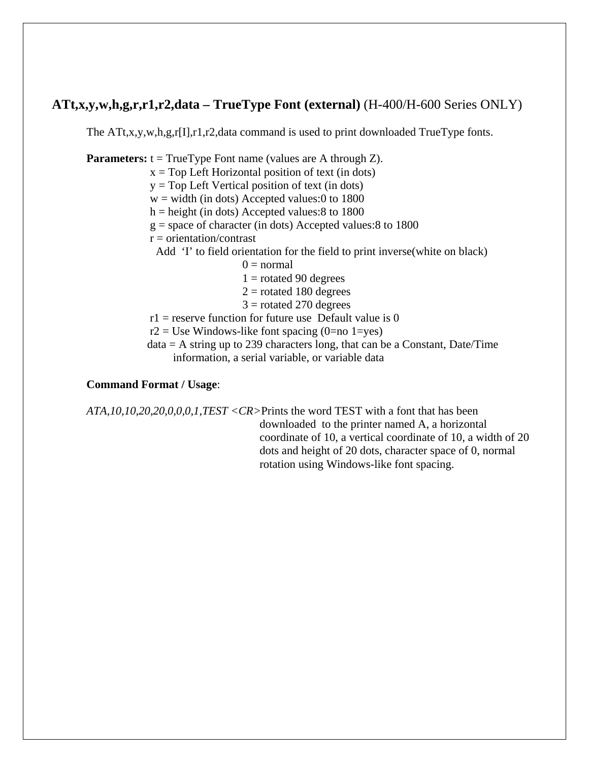# <span id="page-35-0"></span>**ATt,x,y,w,h,g,r,r1,r2,data – TrueType Font (external)** (H-400/H-600 Series ONLY)

The ATt,x,y,w,h,g,r[I],r1,r2,data command is used to print downloaded TrueType fonts.

**Parameters:**  $t = TrueType$  Font name (values are A through Z).  $x = Top$  Left Horizontal position of text (in dots)  $y = Top$  Left Vertical position of text (in dots)  $w = width$  (in dots) Accepted values:0 to 1800  $h =$  height (in dots) Accepted values: 8 to 1800  $g =$  space of character (in dots) Accepted values:8 to 1800 r = orientation/contrast Add 'I' to field orientation for the field to print inverse(white on black)  $0 = normal$  $1 =$ rotated 90 degrees  $2 =$  rotated 180 degrees  $3 =$  rotated 270 degrees  $r1$  = reserve function for future use Default value is 0  $r2 =$  Use Windows-like font spacing (0=no 1=yes)  $data = A$  string up to 239 characters long, that can be a Constant, Date/Time information, a serial variable, or variable data

#### **Command Format / Usage**:

*ATA,10,10,20,20,0,0,0,1,TEST <CR>*Prints the word TEST with a font that has been downloaded to the printer named A, a horizontal coordinate of 10, a vertical coordinate of 10, a width of 20 dots and height of 20 dots, character space of 0, normal rotation using Windows-like font spacing.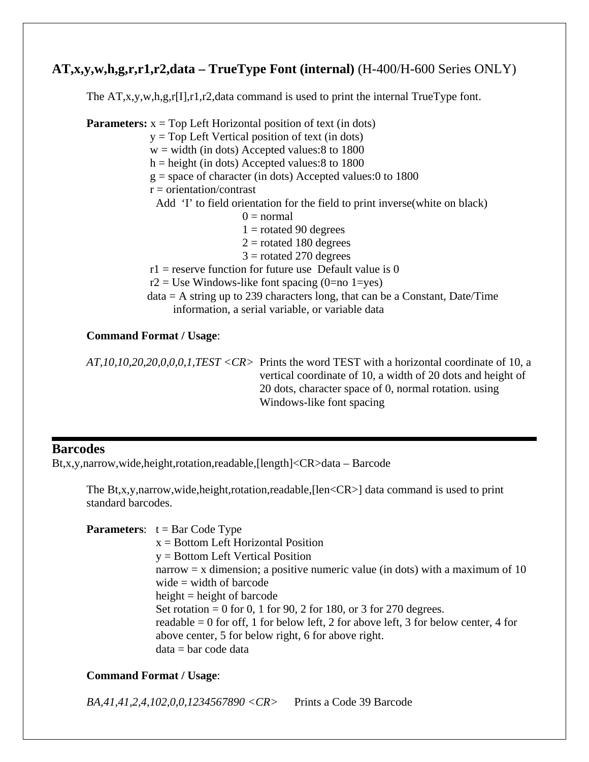# <span id="page-36-0"></span>**AT,x,y,w,h,g,r,r1,r2,data – TrueType Font (internal)** (H-400/H-600 Series ONLY)

The  $AT,x,y,w,h,g,r[1],r1,r2$ , data command is used to print the internal TrueType font.

**Parameters:**  $x = Top$  Left Horizontal position of text (in dots)  $y = Top$  Left Vertical position of text (in dots)  $w = width$  (in dots) Accepted values:8 to 1800  $h =$  height (in dots) Accepted values: 8 to 1800  $g =$ space of character (in dots) Accepted values:0 to 1800 r = orientation/contrast Add 'I' to field orientation for the field to print inverse(white on black)  $0 = normal$  $1 =$  rotated 90 degrees  $2 =$  rotated 180 degrees  $3 =$  rotated 270 degrees  $r1$  = reserve function for future use Default value is 0  $r2 =$  Use Windows-like font spacing (0=no 1=yes)  $data = A$  string up to 239 characters long, that can be a Constant, Date/Time information, a serial variable, or variable data

#### **Command Format / Usage**:

*AT,10,10,20,20,0,0,0,1,TEST <CR>* Prints the word TEST with a horizontal coordinate of 10, a vertical coordinate of 10, a width of 20 dots and height of 20 dots, character space of 0, normal rotation. using Windows-like font spacing

#### **Barcodes**

Bt,x,y,narrow,wide,height,rotation,readable,[length]<CR>data – Barcode

The Bt,x,y,narrow,wide,height,rotation,readable,[len<CR>] data command is used to print standard barcodes.

**Parameters:**  $t = Bar Code Type$ 

narrow  $= x$  dimension; a positive numeric value (in dots) with a maximum of 10 readable  $= 0$  for off, 1 for below left, 2 for above left, 3 for below center, 4 for above center, 5 for below right, 6 for above right. x = Bottom Left Horizontal Position y = Bottom Left Vertical Position wide = width of barcode  $height = height of barcode$ Set rotation  $= 0$  for 0, 1 for 90, 2 for 180, or 3 for 270 degrees.  $data = bar code data$ 

#### **Command Format / Usage**:

*BA,41,41,2,4,102,0,0,1234567890 <CR>* Prints a Code 39 Barcode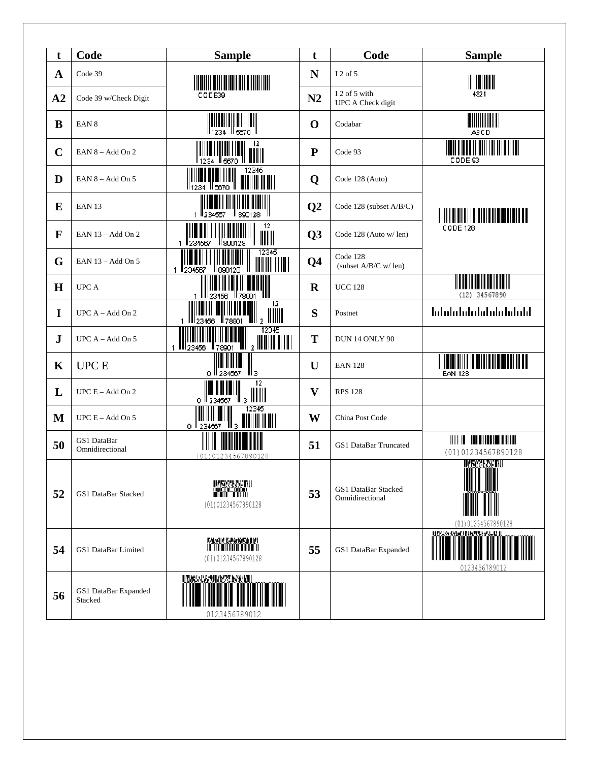<span id="page-37-0"></span>

| t            | Code                            | <b>Sample</b>                                                                                                          | t               | Code                                   | <b>Sample</b>                                                       |  |
|--------------|---------------------------------|------------------------------------------------------------------------------------------------------------------------|-----------------|----------------------------------------|---------------------------------------------------------------------|--|
| $\mathbf A$  | Code 39                         | <b>HERE IN THE REAL PROPERTY</b>                                                                                       | N               | I 2 of 5                               |                                                                     |  |
| A2           | Code 39 w/Check Digit           | CODE39                                                                                                                 | N2              | I 2 of 5 with<br>UPC A Check digit     | 4321                                                                |  |
| B            | EAN <sub>8</sub>                | 1234 15670 1                                                                                                           | $\mathbf 0$     | Codabar                                | ABCD.                                                               |  |
| $\mathbf C$  | EAN $8 -$ Add On 2              | 12<br>$\begin{tabular}{c} \hline \textbf{  } \textbf{  } \textbf{  } \textbf{  } \end{tabular}$<br>1234 5670           | ${\bf P}$       | Code 93                                | CODE 93                                                             |  |
| D            | EAN $8 -$ Add On 5              | 12345<br>ll 1234 ll 5670 ll                                                                                            | Q               | Code 128 (Auto)                        |                                                                     |  |
| E            | EAN <sub>13</sub>               | <b>I</b> ssot28<br>1                                                                                                   | $\overline{Q}2$ | Code 128 (subset A/B/C)                |                                                                     |  |
| $\mathbf{F}$ | EAN $13 -$ Add On 2             | 12<br>$\  \ \ $<br>1 234567<br>$II$ 890128                                                                             | Q3              | Code 128 (Auto w/len)                  | <b>CODE 128</b>                                                     |  |
| G            | EAN 13 - Add On 5               | 12345<br>1234567<br>ll 890128<br>1                                                                                     | Q <sub>4</sub>  | Code 128<br>(subset $A/B/C$ w/len)     |                                                                     |  |
| H            | <b>UPCA</b>                     | 23456                                                                                                                  | $\mathbf R$     | <b>UCC 128</b>                         | (12) 34567890                                                       |  |
| I            | UPC $A - Add On 2$              | 12<br>$\  \ $ , $\  \ $<br>IIII 23456<br>II 78901                                                                      | S               | Postnet                                | labdahalabdahalabd                                                  |  |
| ${\bf J}$    | $UPC A - Add On 5$              | 12345<br>IIII 23456.<br>$\mathbf{2}$                                                                                   | T               | <b>DUN 14 ONLY 90</b>                  |                                                                     |  |
| $\mathbf K$  | <b>UPCE</b>                     | 0 ll 234567<br>⊪з                                                                                                      | U               | <b>EAN 128</b>                         | <b>EAN 128</b>                                                      |  |
| L            | UPC $E - Add On 2$              | 12<br>$\begin{tabular}{c} \hline \quad \quad & \quad \quad & \quad \quad \\ \hline \end{tabular}$<br>O II 234567<br>⊪з | $\mathbf{V}$    | <b>RPS 128</b>                         |                                                                     |  |
| M            | UPC $E - Add On 5$              | 12345<br>   <b>  </b>               <br>11 s III<br>o 1234567                                                          | W               | China Post Code                        |                                                                     |  |
| 50           | GS1 DataBar<br>Omnidirectional  | (01) 01<br>234567890128                                                                                                | 51              | GS1 DataBar Truncated                  | (01) 01234567890128                                                 |  |
| 52           | <b>GS1 DataBar Stacked</b>      | UNECCLECTION<br>Winner (Mini)<br>(01) 01234567890128                                                                   | 53              | GS1 DataBar Stacked<br>Omnidirectional | <b>INTERSANZA DE DEL</b><br>Intersanza de Del<br>(01)01234567890128 |  |
| 54           | <b>GS1 DataBar Limited</b>      | ESA SUA DEPARTEMENTA<br>International de la proposition<br>(01) 01234567890128                                         | 55              | GS1 DataBar Expanded                   | <u> Ulisandellungs</u> kanl<br>0123456789012                        |  |
| 56           | GS1 DataBar Expanded<br>Stacked | <u>uvsevanovas k</u> ul<br>0123456789012                                                                               |                 |                                        |                                                                     |  |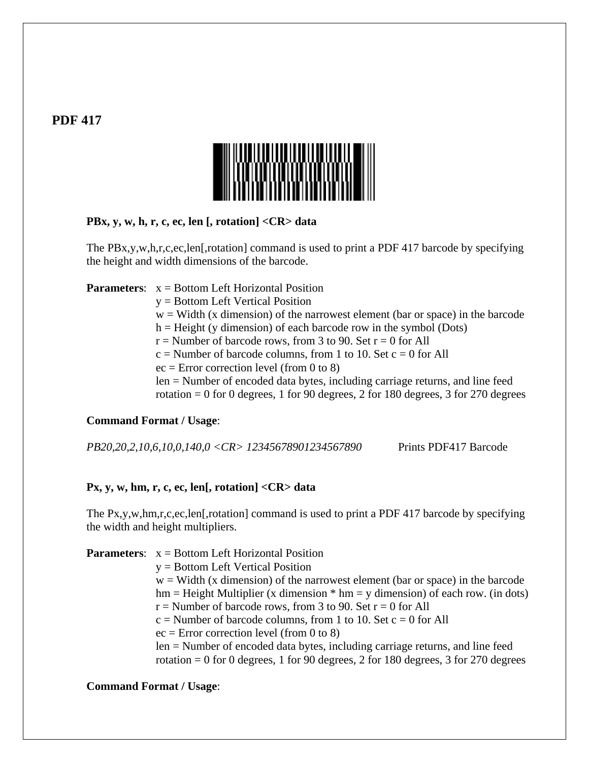<span id="page-38-0"></span>**PDF 417** 



#### **PBx, y, w, h, r, c, ec, len [, rotation] <CR> data**

The PBx,y,w,h,r,c,ec,len[,rotation] command is used to print a PDF 417 barcode by specifying the height and width dimensions of the barcode.

**Parameters:**  $x =$  Bottom Left Horizontal Position

y = Bottom Left Vertical Position

- $w =$  Width (x dimension) of the narrowest element (bar or space) in the barcode
	- $h =$  Height (y dimension) of each barcode row in the symbol (Dots)
	- $r =$ Number of barcode rows, from 3 to 90. Set  $r = 0$  for All
	- $c =$ Number of barcode columns, from 1 to 10. Set  $c = 0$  for All
	- $ec = Error correction level (from 0 to 8)$

len = Number of encoded data bytes, including carriage returns, and line feed rotation  $= 0$  for 0 degrees, 1 for 90 degrees, 2 for 180 degrees, 3 for 270 degrees

#### **Command Format / Usage**:

*67890* Prints PDF417 Barcode *PB20,20,2,10,6,10,0,140,0 <CR> 123456789012345*

#### Px, y, w, hm, r, c, ec, len[, rotation] <CR> data

The Px,y,w,hm,r,c,ec,len[,rotation] command is used to print a PDF 417 barcode by specifying the width and height multipliers.

**Parameters:**  $x =$  Bottom Left Horizontal Position

y = Bottom Left Vertical Position

 $w =$  Width (x dimension) of the narrowest element (bar or space) in the barcode  $hm = Height Multiplier (x dimension * hm = y dimension)$  of each row. (in dots)  $r =$ Number of barcode rows, from 3 to 90. Set  $r = 0$  for All

 $c =$  Number of barcode columns, from 1 to 10. Set  $c = 0$  for All

 $ec = Error correction level (from 0 to 8)$ 

len = Number of encoded data bytes, including carriage returns, and line feed rotation  $= 0$  for 0 degrees, 1 for 90 degrees, 2 for 180 degrees, 3 for 270 degrees

#### **Command Format / Usage**: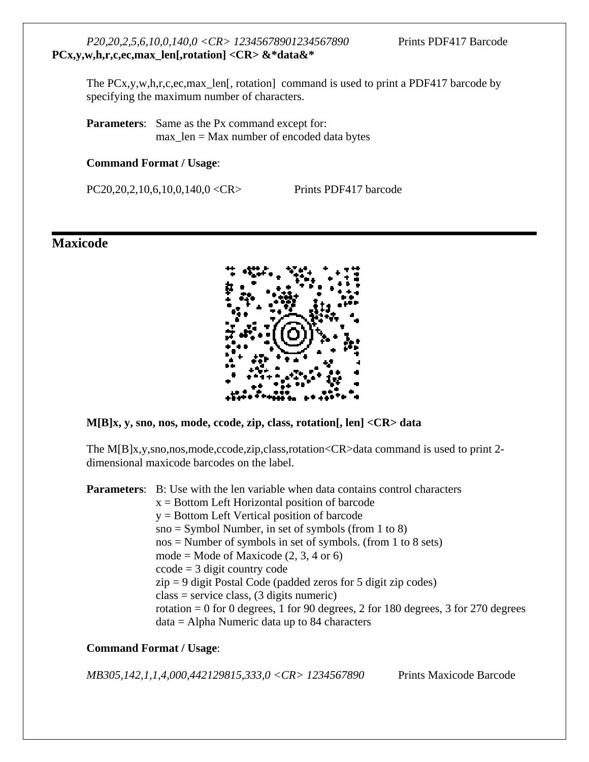#### <span id="page-39-0"></span>*P20,20,2,5,6,10,0,140,0 <CR> 12345678901234567890* Prints PDF417 Barcode  **<CR> &\*data&\* PCx,y,w,h,r,c,ec,max\_len[,rotation]**

The  $PCx, y, w, h, r, c, ec, max\_len[$ , rotation] command is used to print a PDF417 barcode by specifying the maximum number of characters.

 max\_len = Max number of encoded data bytes **Parameters**: Same as the Px command except for:

#### **Command Format / Usage**:

PC20,20,2,10,6,10,0,140,0 <CR> Prints PDF417 barcode

# **Maxicode**



#### **M[B]x, y, sno, nos, mode, ccode, zip, class, rotation[, len] <CR> data**

The M[B]x,y,sno,nos,mode,ccode,zip,class,rotation<CR>data command is used to print 2 dimensional maxicode barcodes on the label.

 $sno = Symbol$  Number, in set of symbols (from 1 to 8)  $nos = Number of symbols in set of symbols. (from 1 to 8 sets)$  zip = 9 digit Postal Code (padded zeros for 5 digit zip codes) class = service class, (3 digits numeric) rotation  $= 0$  for 0 degrees, 1 for 90 degrees, 2 for 180 degrees, 3 for 270 degrees data = Alpha Numeric data up to 84 characters **Parameters:** B: Use with the len variable when data contains control characters x = Bottom Left Horizontal position of barcode y = Bottom Left Vertical position of barcode mode = Mode of Maxicode  $(2, 3, 4 \text{ or } 6)$  $\text{code} = 3$  digit country code

# **Command Format / Usage**:

*42,1,1,4,000,442129815,333,0 <CR> 1234567890* Prints Maxicode Barcode *MB305,1*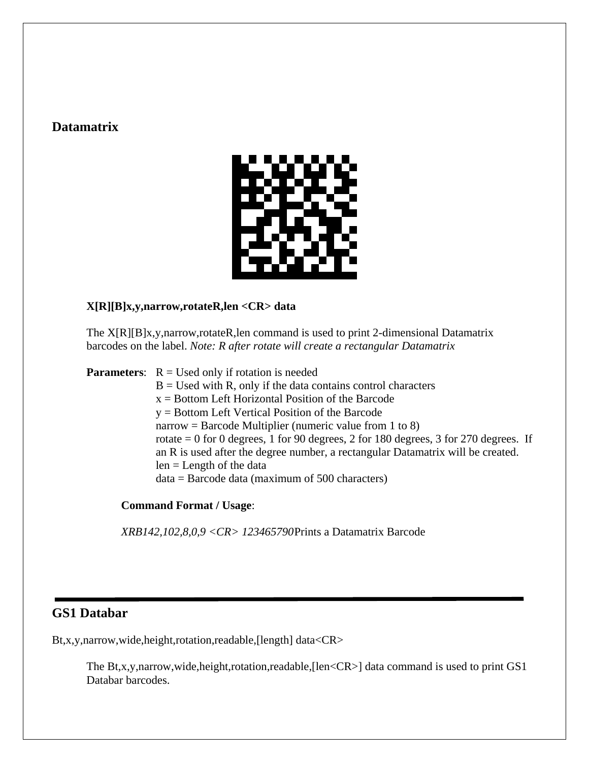# <span id="page-40-0"></span>**Datamatrix**



#### **X[R][B]x,y,narrow,rotateR,len <CR> data**



**Parameters:**  $R =$  Used only if rotation is needed

 $B =$  Used with R, only if the data contains control characters

 $x =$  Bottom Left Horizontal Position of the Barcode

y = Bottom Left Vertical Position of the Barcode

narrow = Barcode Multiplier (numeric value from 1 to 8)

rotate  $= 0$  for 0 degrees, 1 for 90 degrees, 2 for 180 degrees, 3 for 270 degrees. If an R is used after the degree number, a rectangular Datamatrix will be created. len = Length of the data

 $data = Barcelona$  data (maximum of 500 characters)

#### **mmand Format / Usage**: **Co**

XRB142,102,8,0,9 <CR>123465790Prints a Datamatrix Barcode

#### **GS1 D atabar**

Bt,x,y,narrow,wide,height,rotation,readable,[length] data<CR>

The Bt,x,y,narrow,wide,height,rotation,readable,[len< $CR$ >] data command is used to print GS1 Databar barcodes.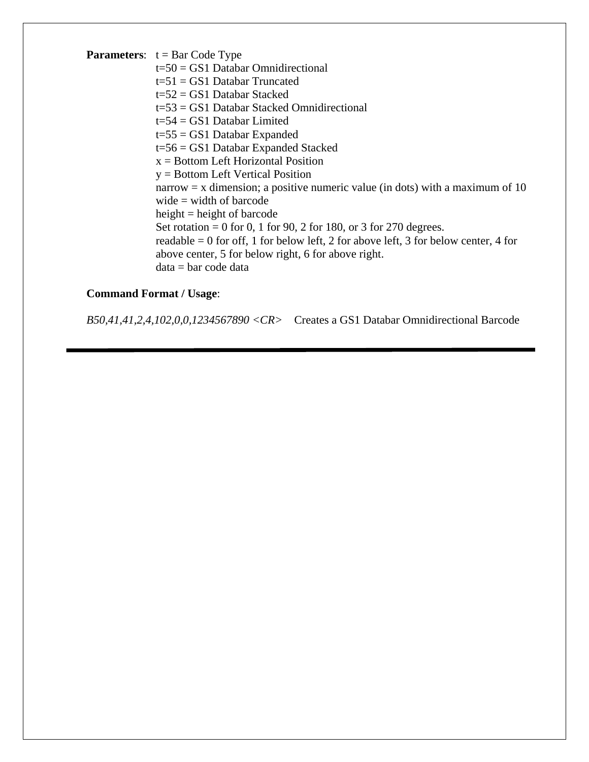**Parameters:**  $t = Bar Code Type$ 

 $t = 50$  = GS1 Databar Omnidirectional

- $t=51 = GS1$  Databar Truncated
- $t = 52 = GS1$  Databar Stacked
- $t = 53 = GS1$  Databar Stacked Omnidirectional
	- t=54 = GS1 Databar Limited
	- t=55 = GS1 Databar Expanded
	- t=56 = GS1 Databar Expanded Stacked
- $x = Bottom$  Left Horizontal Position
	- y = Bottom Left Vertical Position
- narrow  $= x$  dimension; a positive numeric value (in dots) with a maximum of 10 wide = width of barcode
	- $height = height of barcode$
	- Set rotation  $= 0$  for 0, 1 for 90, 2 for 180, or 3 for 270 degrees.
	- readable  $= 0$  for off, 1 for below left, 2 for above left, 3 for below center, 4 for above center, 5 for below right, 6 for above right.

 $data = bar code data$ 

#### **Command Format / Usage**:

*B50,41,41,2,4,102,0,0,1234567890 <CR>* Creates a GS1 Databar Omnidirectional Barcode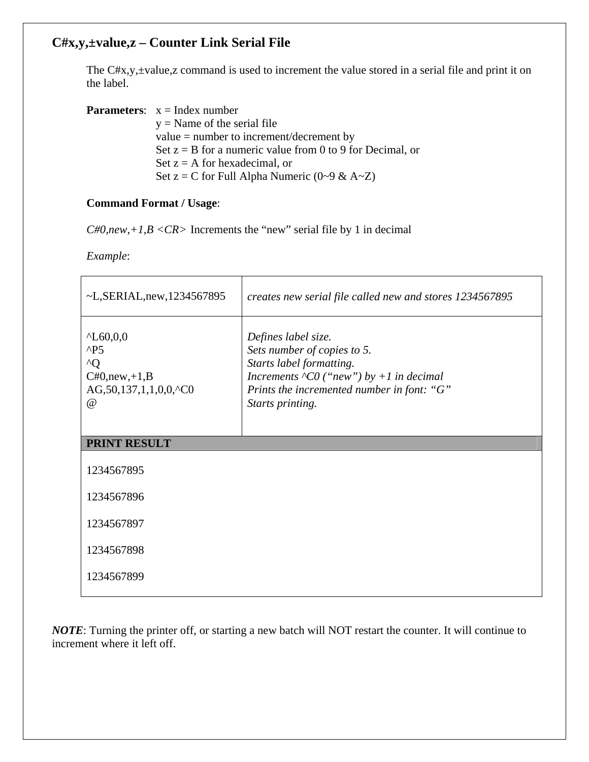# <span id="page-42-0"></span>**C#x,y,±value,z – Counter Link Serial File**

The C#x,y,±value,z command is used to increment the value stored in a serial file and print it on the label.

**Parameters:**  $x = \text{Index number}$  $y =$ Name of the serial file value = number to increment/decrement by Set  $z = B$  for a numeric value from 0 to 9 for Decimal, or Set  $z = A$  for hexadecimal, or Set  $z = C$  for Full Alpha Numeric (0~9 & A~Z)

#### **Command Format / Usage**:

*C#0,new, +1,B <CR>* Increments the "new" serial file by 1 in decimal

*Example*:

| $-L$ , SERIAL, new, 1234567895                                                                                             | creates new serial file called new and stores 1234567895                                                                                                                                               |
|----------------------------------------------------------------------------------------------------------------------------|--------------------------------------------------------------------------------------------------------------------------------------------------------------------------------------------------------|
| $^{\wedge}$ L60,0,0<br>$^{\wedge}P5$<br>$^{\wedge}Q$<br>$C#0, new,+1,B$<br>AG, 50, 137, 1, 1, 0, 0, ^C0<br>$^{\copyright}$ | Defines label size.<br>Sets number of copies to 5.<br>Starts label formatting.<br>Increments $\triangle CO$ ("new") by +1 in decimal<br>Prints the incremented number in font: "G"<br>Starts printing. |
| <b>PRINT RESULT</b>                                                                                                        |                                                                                                                                                                                                        |
| 1234567895                                                                                                                 |                                                                                                                                                                                                        |
| 1234567896                                                                                                                 |                                                                                                                                                                                                        |
| 1234567897                                                                                                                 |                                                                                                                                                                                                        |
| 1234567898                                                                                                                 |                                                                                                                                                                                                        |
| 1234567899                                                                                                                 |                                                                                                                                                                                                        |

*NOTE*: Turning the printer off, or starting a new batch will NOT restart the counter. It will continue to increment where it left off.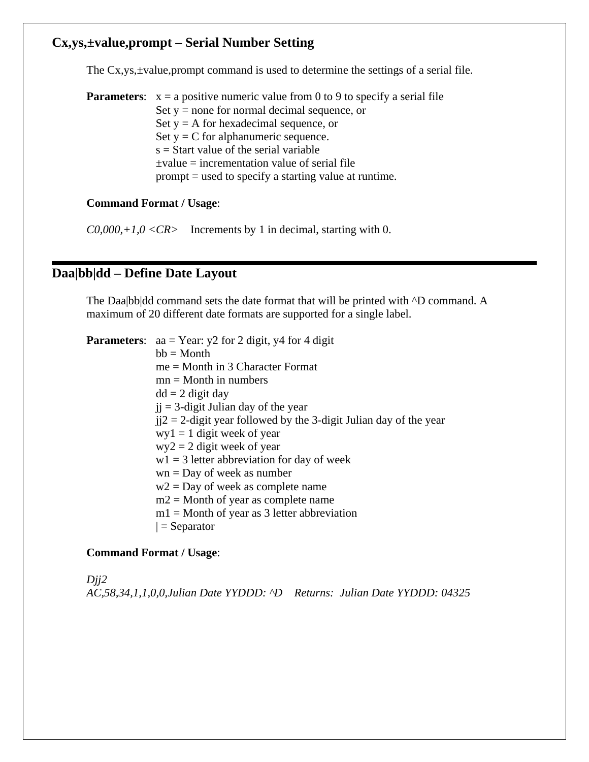# <span id="page-43-0"></span>**Cx,ys,±value,prompt – Serial Number Setting**

The Cx,ys,±value,prompt command is used to determine the settings of a serial file.

**Parameters:**  $x = a$  positive numeric value from 0 to 9 to specify a serial file Set  $y =$  none for normal decimal sequence, or Set  $y = A$  for hexadecimal sequence, or Set  $y = C$  for alphanumeric sequence.  $s =$ Start value of the serial variable  $\pm$ value = incrementation value of serial file prompt = used to specify a starting value at runtime.

#### **Command Format / Usage**:

 $C0,000,+1,0 < CR$  Increments by 1 in decimal, starting with 0.

# **Daa|bb|dd – Define Date Layout**

The Daa|bb|dd command sets the date format that will be printed with  $\Delta$  command. A maximum of 20 different date formats are supported for a single label.

**Parameters:** aa = Year:  $y2$  for 2 digit,  $y4$  for 4 digit

 $hh = M$ onth me = Month in 3 Character Format  $mn = M$ onth in numbers  $dd = 2$  digit day  $ji = 3$ -digit Julian day of the year  $ji2 = 2$ -digit year followed by the 3-digit Julian day of the year  $wy1 = 1$  digit week of year  $wy2 = 2$  digit week of year  $w1 = 3$  letter abbreviation for day of week  $wn = Day$  of week as number  $w2 = Day$  of week as complete name  $m2 =$ Month of year as complete name  $ml = Month of year as 3 letter abbreviation$  $|$  = Separator

#### **Command Format / Usage**:

 *Djj2 AC,58,34,1,1,0,0,Julian Date YYDDD: ^D Returns: Julian Date YYDDD: 04325*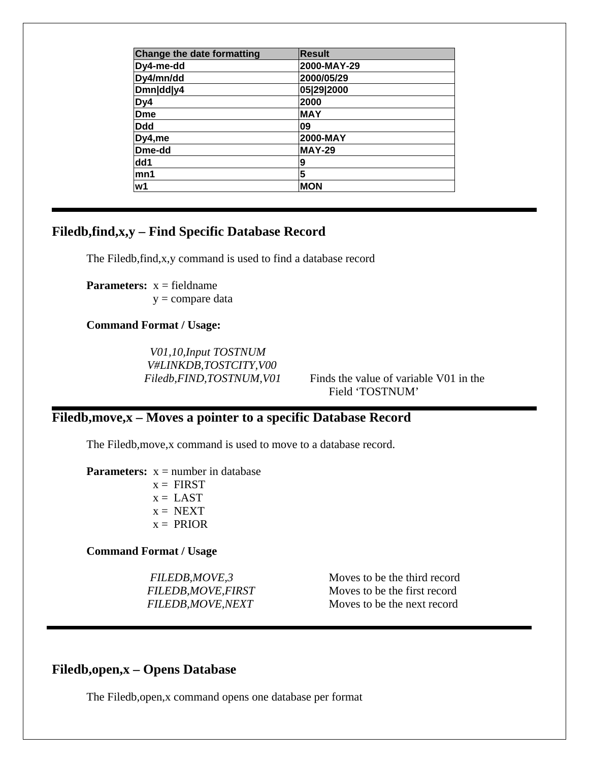<span id="page-44-0"></span>

| Change the date formatting | <b>Result</b> |
|----------------------------|---------------|
| Dy4-me-dd                  | 2000-MAY-29   |
| Dy4/mn/dd                  | 2000/05/29    |
| Dmn dd y4                  | 05 29 2000    |
| Dy4                        | 2000          |
| <b>Dme</b>                 | <b>MAY</b>    |
| <b>Ddd</b>                 | 09            |
| Dy4,me                     | 2000-MAY      |
| Dme-dd                     | <b>MAY-29</b> |
| dd1                        | 9             |
| mn1                        | 5             |
| w1                         | <b>MON</b>    |

# **Filedb,find,x,y – Find Specific Database Record**

The Filedb,find,x,y command is used to find a database record

**Parameters:**  $x = \text{fieldname}$  $y =$ compare data

**Command Format / Usage:** 

*V01,10,Input TOSTNUM V#LINKDB,TOSTCITY,V00* 

 *Filedb,FIND,TOSTNUM,V01* Finds the value of variable V01 in the Field 'TOSTNUM'

# **Filedb,move,x – Moves a pointer to a specific Database Record**

The Filedb,move,x command is used to move to a database record.

**Parameters:**  $x =$  number in database

 $x = FIRST$  $x =$  LAST  $x = \text{NEXT}$  $x = PRIOR$ 

**Command Format / Usage** 

FILEDB, MOVE, 3 Moves to be the third record *FILEDB, MOVE, FIRST* Moves to be the first record *FILEDB, MOVE, NEXT* Moves to be the next record

# **Filedb,open,x – Opens Database**

The Filedb,open,x command opens one database per format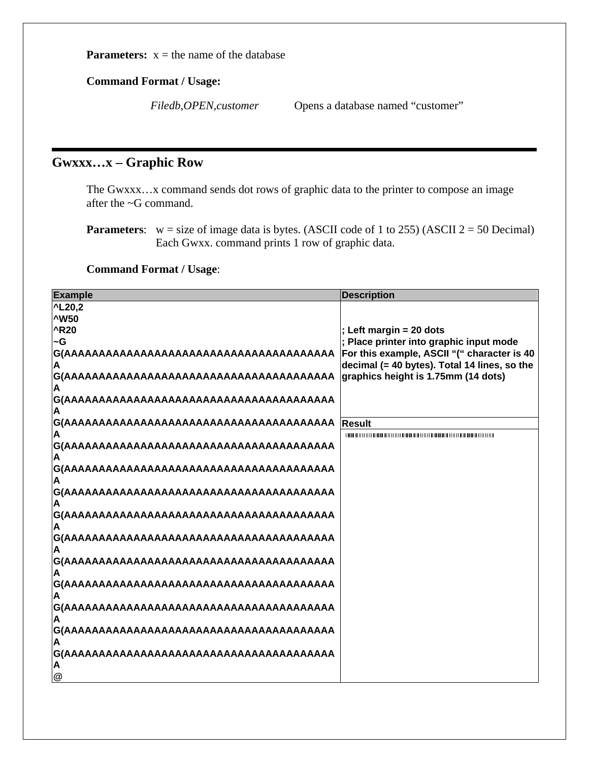<span id="page-45-0"></span>**Parameters:**  $x =$  the name of the database

**Command Format / Usage:** 

*Filedb, OPEN, customer* Opens a database named "customer"

# **Gwxxx…x – Graphic Row**

The Gwxxx…x command sends dot rows of graphic data to the printer to compose an image after the ~G command.

**Parameters:**  $w = size of image data is bytes. (ASCII code of 1 to 255) (ASCII 2 = 50 Decimal)$ Each Gwxx. command prints 1 row of graphic data.

#### **Command Format / Usage**:

| <b>Example</b> | <b>Description</b>                           |
|----------------|----------------------------------------------|
| <b>^L20,2</b>  |                                              |
| <b>^W50</b>    |                                              |
| <b>^R20</b>    | ; Left margin $= 20$ dots                    |
| ~G             | ; Place printer into graphic input mode      |
|                | For this example, ASCII "(" character is 40  |
| А              | decimal (= 40 bytes). Total 14 lines, so the |
|                | graphics height is 1.75mm (14 dots)          |
|                |                                              |
|                |                                              |
|                |                                              |
|                | <b>Result</b>                                |
|                |                                              |
|                |                                              |
|                |                                              |
|                |                                              |
| А              |                                              |
|                |                                              |
|                |                                              |
|                |                                              |
|                |                                              |
|                |                                              |
|                |                                              |
|                |                                              |
|                |                                              |
|                |                                              |
|                |                                              |
|                |                                              |
|                |                                              |
|                |                                              |
|                |                                              |
|                |                                              |
|                |                                              |
| А<br>@         |                                              |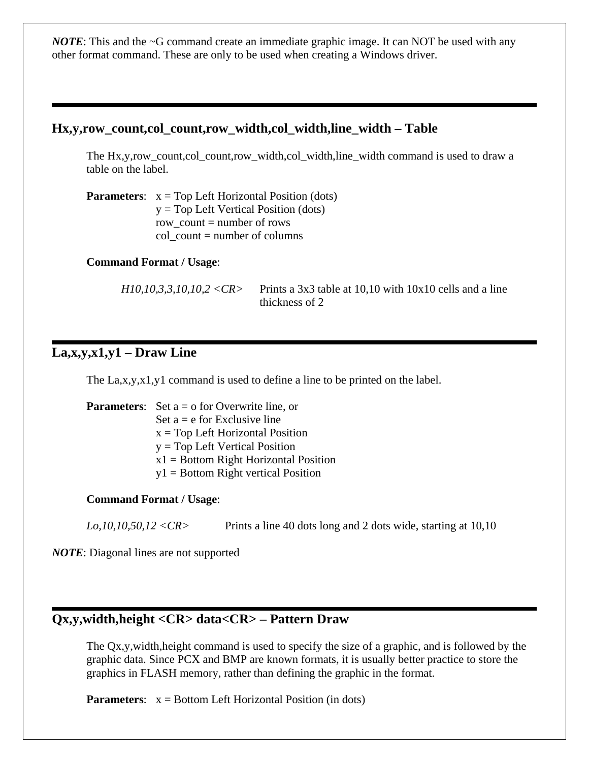<span id="page-46-0"></span>*NOTE*: This and the ~G command create an immediate graphic image. It can NOT be used with any other format command. These are only to be used when creating a Windows driver.

### Hx,y,row count,col count,row width,col width,line width – Table

The Hx,y,row\_count,col\_count,row\_width,col\_width,line\_width command is used to draw a table on the label.

**Parameters:**  $x = Top Left Horizontal Position (dots)$  $y = Top$  Left Vertical Position (dots) row\_count = number of rows col\_count = number of columns

#### **Command Format / Usage**:

*H10,10,3,3,10,10,2 <CR>* Prints a 3x3 table at 10,10 with 10x10 cells and a line thickness of 2

# **La,x,y,x1,y1 – Draw Line**

The La,x,y,x1,y1 command is used to define a line to be printed on the label.

**Parameters:** Set a = o for Overwrite line, or Set  $a = e$  for Exclusive line  $x = Top$  Left Horizontal Position y = Top Left Vertical Position  $x1 =$  Bottom Right Horizontal Position y1 = Bottom Right vertical Position

#### **Command Format / Usage**:

*Lo,10,10,50,12 <CR>* Prints a line 40 dots long and 2 dots wide, starting at 10,10

*NOTE*: Diagonal lines are not supported

# **Qx,y,width,height <CR> data<CR> – Pattern Draw**

The Qx,y,width,height command is used to specify the size of a graphic, and is followed by the graphic data. Since PCX and BMP are known formats, it is usually better practice to store the graphics in FLASH memory, rather than defining the graphic in the format.

**Parameters:**  $x = Bottom Left Horizontal Position (in dots)$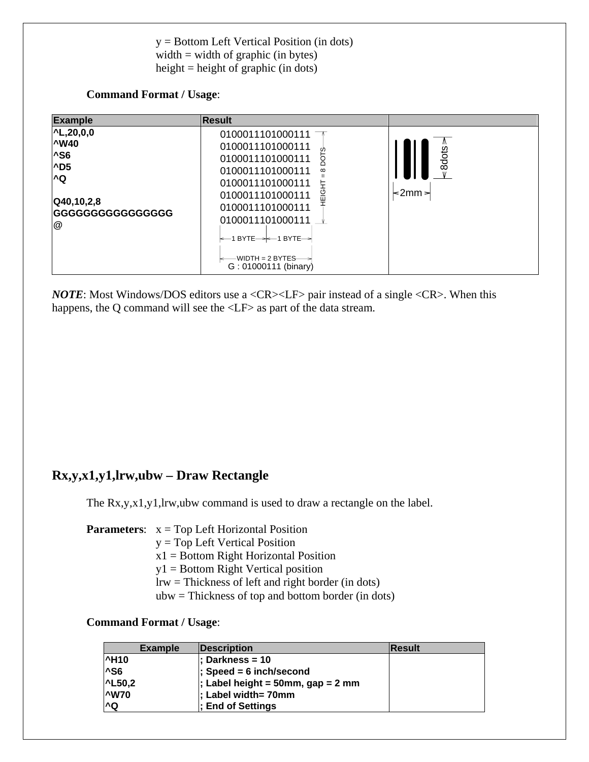y = Bottom Left Vertical Position (in dots) width  $=$  width of graphic (in bytes) height = height of graphic (in dots)

**Command Format / Usage**:

<span id="page-47-0"></span>

*NOTE*: Most Windows/DOS editors use a <CR><LF> pair instead of a single <CR>. When this happens, the Q command will see the  $\langle L \rangle$  as part of the data stream.

# **Rx,y,x1,y1,lrw,ubw – Draw Rectangle**

The Rx,y,x1,y1,lrw,ubw command is used to draw a rectangle on the label.

**Parameters:**  $x = Top Left Horizontal Position$  y = Top Left Vertical Position x1 = Bottom Right Horizontal Position y1 = Bottom Right Vertical position lrw = Thickness of left and right border (in dots) ubw  $=$  Thickness of top and bottom border (in dots)

#### **Command Format / Usage**:

| <b>Example</b>   | <b>Description</b>                        | lResult |
|------------------|-------------------------------------------|---------|
| <b>MH10</b>      | $\frac{1}{2}$ : Darkness = 10             |         |
| $^{\text{A}}$ S6 | $; Speed = 6 inch/second$                 |         |
| $\sim$ L50,2     | $\vert$ ; Label height = 50mm, gap = 2 mm |         |
| <b>MW70</b>      | : Label width= 70mm                       |         |
| ^Q               | <b>End of Settings</b>                    |         |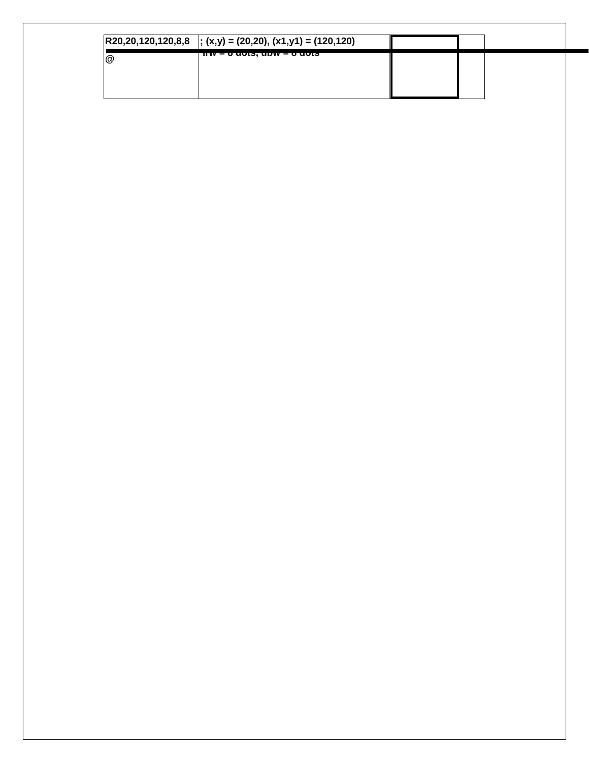|            | $ R20,20,120,120,8,8 $ ; (x,y) = (20,20), (x1,y1) = (120,120) |  |  |
|------------|---------------------------------------------------------------|--|--|
| $^{\,(a)}$ |                                                               |  |  |
|            |                                                               |  |  |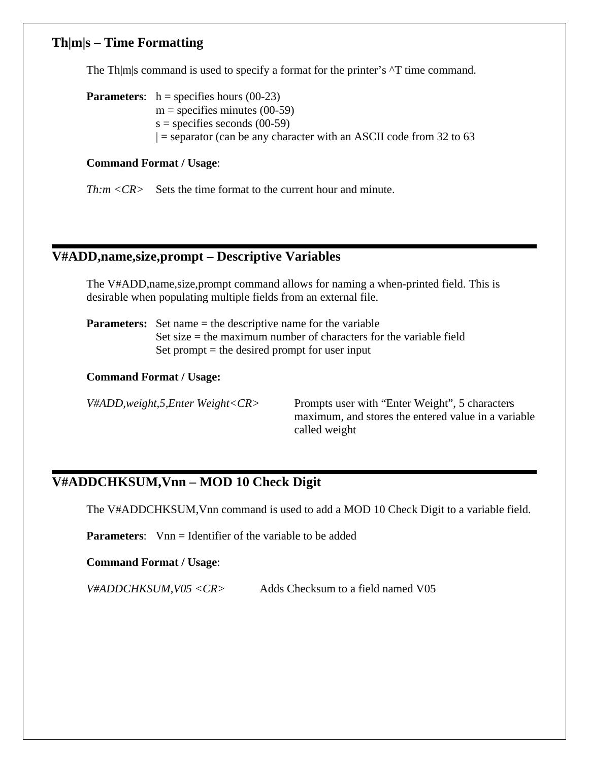#### <span id="page-49-0"></span>**Th|m|s – Time Formatting**

The Th|m|s command is used to specify a format for the printer's  $\gamma$ T time command.

**Parameters:**  $h =$  specifies hours (00-23)  $m =$  specifies minutes (00-59)  $s =$  specifies seconds (00-59)  $|$  = separator (can be any character with an ASCII code from 32 to 63

#### **Command Format / Usage**:

*Th:m <CR>* Sets the time format to the current hour and minute.

# **V#ADD,name,size,prompt – Descriptive Variables**

The V#ADD,name,size,prompt command allows for naming a when-printed field. This is desirable when populating multiple fields from an external file.

**Parameters:** Set name = the descriptive name for the variable Set size  $=$  the maximum number of characters for the variable field Set prompt  $=$  the desired prompt for user input

#### **Command Format / Usage:**

*V#ADD,weight,5,Enter Weight<CR>* Prompts user with "Enter Weight", 5 characters maximum, and stores the entered value in a variable called weight

# **V#ADDCHKSUM,Vnn – MOD 10 Check Digit**

The V#ADDCHKSUM,Vnn command is used to add a MOD 10 Check Digit to a variable field.

**Parameters:** Vnn = Identifier of the variable to be added

**Command Format / Usage**:

*V#ADDCHKSUM,V05 <CR>* Adds Checksum to a field named V05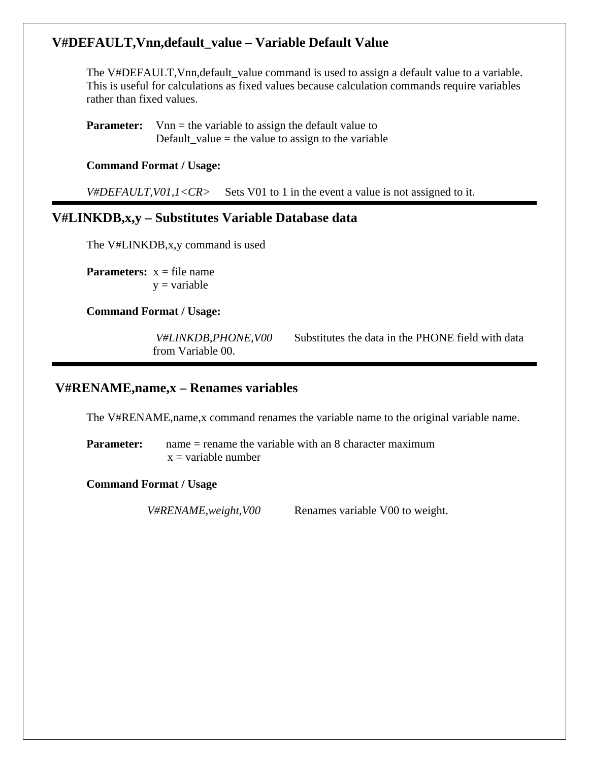# <span id="page-50-0"></span>**V#DEFAULT,Vnn,default\_value – Variable Default Value**

The V#DEFAULT,Vnn,default\_value command is used to assign a default value to a variable. This is useful for calculations as fixed values because calculation commands require variables rather than fixed values.

**Parameter:** Vnn = the variable to assign the default value to Default\_value  $=$  the value to assign to the variable

**Command Format / Usage:** 

*V#DEFAULT, V01,1<CR>* Sets V01 to 1 in the event a value is not assigned to it.

#### **V#LINKDB,x,y – Substitutes Variable Database data**

The V#LINKDB,x,y command is used

**Parameters:**  $x =$  file name  $y = variable$ 

**Command Format / Usage:** 

from Variable 00.

*V#LINKDB,PHONE,V00* Substitutes the data in the PHONE field with data

# **V#RENAME,name,x – Renames variables**

The V#RENAME,name,x command renames the variable name to the original variable name.

**Parameter:** name = rename the variable with an 8 character maximum  $x =$ variable number

**Command Format / Usage** 

V#RENAME, weight, V00 Renames variable V00 to weight.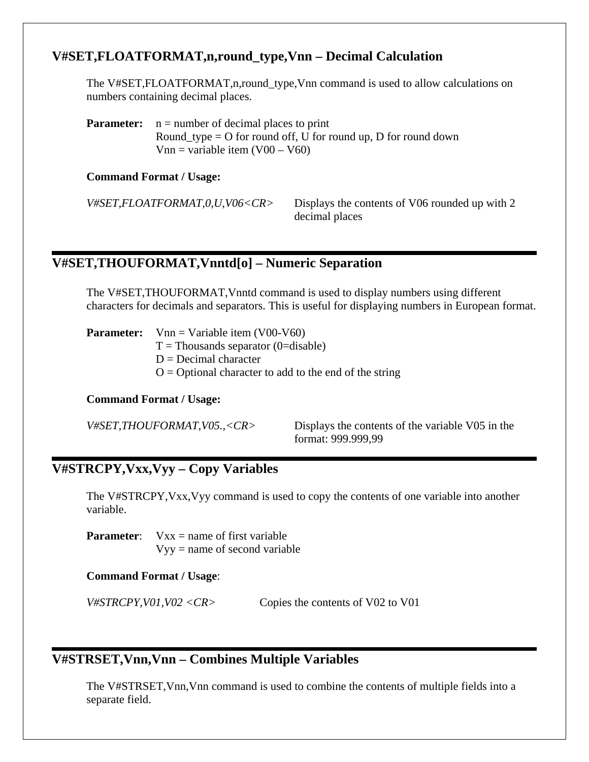# <span id="page-51-0"></span>**V#SET,FLOATFORMAT,n,round\_type,Vnn – Decimal Calculation**

The V#SET,FLOATFORMAT,n,round\_type,Vnn command is used to allow calculations on numbers containing decimal places.

**Parameter:**  $n =$  number of decimal places to print Round\_type  $=$  O for round off, U for round up, D for round down  $Vnn = variable item (V00 - V60)$ 

**Command Format / Usage:** 

*V#SET,FLOATFORMAT,0,U,V06<CR>* Displays the contents of V06 rounded up with 2 decimal places

# **V#SET,THOUFORMAT,Vnntd[o] – Numeric Separation**

The V#SET,THOUFORMAT,Vnntd command is used to display numbers using different characters for decimals and separators. This is useful for displaying numbers in European format.

**Parameter:** Vnn = Variable item (V00-V60)

 $T =$ Thousands separator (0=disable)

 $D =$  Decimal character

 $O =$  Optional character to add to the end of the string

#### **Command Format / Usage:**

*V#SET,THOUFORMAT,V05.,<CR>* Displays the contents of the variable V05 in the format: 999.999,99

# **V#STRCPY,Vxx,Vyy – Copy Variables**

The V#STRCPY,Vxx,Vyy command is used to copy the contents of one variable into another variable.

**Parameter:** Vxx = name of first variable  $Vyy = name of second variable$ 

**Command Format / Usage**:

*V#STRCPY, V01, V02 <CR>* Copies the contents of V02 to V01

# **V#STRSET,Vnn,Vnn – Combines Multiple Variables**

The V#STRSET,Vnn,Vnn command is used to combine the contents of multiple fields into a separate field.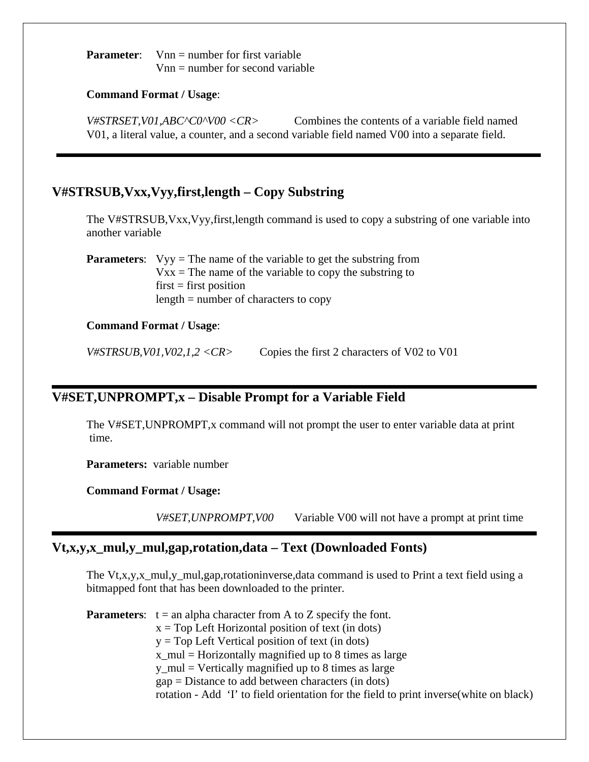<span id="page-52-0"></span>**Parameter:** Vnn = number for first variable  $Vnn = number for second variable$ 

#### **Command Format / Usage**:

*V#STRSET, V01,ABC^C0^V00 <CR>* Combines the contents of a variable field named V01, a literal value, a counter, and a second variable field named V00 into a separate field.

# **#STRSUB,Vxx,Vyy,first,length – Copy Substring V**

The V#STRSUB, Vxx, Vyy, first, length command is used to copy a substring of one variable into another variable

 $Vxx$  = The name of the variable to copy the substring to length = number of characters to copy **Parameters:** Vyy = The name of the variable to get the substring from  $first = first position$ 

#### Command Format / Usage:

*V#STRSUB, V01, V02, 1,2 <CR>* Copies the first 2 characters of V02 to V01

# **V#SET,UNPROMPT,x – Disable Prompt for a Variable Field**

The V#SET, UNPROMPT, x command will not prompt the user to enter variable data at print time.

**Parameters:** variable number

**Command Format / Usage:** 

V#SET, UNPROMPT, V00 Variable V00 will not have a prompt at print time

# **Vt,x,y ,x\_mul,y\_mul,gap,rotation,data – Text (Downloaded Fonts)**

The Vt,x,y,x\_mul,y\_mul,gap,rotationinverse,data command is used to Print a text field using a bitmapped font that has been downloaded to the printer.

| <b>Parameters:</b> $t =$ an alpha character from A to Z specify the font.               |
|-----------------------------------------------------------------------------------------|
| $x = Top$ Left Horizontal position of text (in dots)                                    |
| $y = Top$ Left Vertical position of text (in dots)                                      |
| $x$ _mul = Horizontally magnified up to 8 times as large                                |
| $y$ _mul = Vertically magnified up to 8 times as large                                  |
| $gap = Distance$ to add between characters (in dots)                                    |
| rotation - Add 'I' to field orientation for the field to print inverse (white on black) |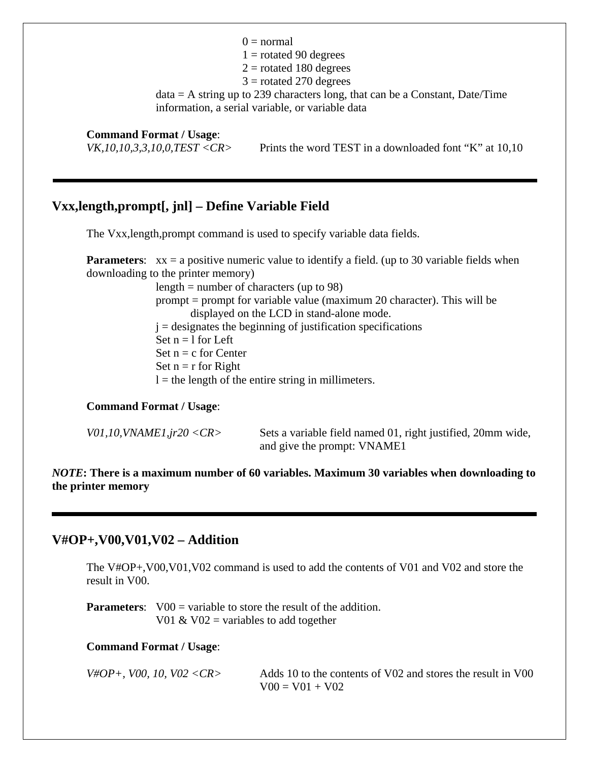- $0 = normal$
- $1 =$ rotated 90 degrees
- $2 =$  rotated 180 degrees
- $3 =$  rotated 270 degrees

 $data = A$  string up to 239 characters long, that can be a Constant, Date/Time information, a serial variable, or variable data

#### <span id="page-53-0"></span>**Command Format / Usage**:

*VK,10,10,3,3,10,0,TEST <CR>* Prints the word TEST in a downloaded font "K" at 10,10

### **xx,length,prompt[, jnl] – Define Variable Field V**

The Vxx, length, prompt command is used to specify variable data fields.

**Parameters**:  $xx = a$  positive numeric value to identify a field. (up to 30 variable fields when downloading to the pr inter memory)

prompt  $=$  prompt for variable value (maximum 20 character). This will be displayed on the LCD in stand-alone mode.  $j =$  designates the beginning of justification specifications Set  $n = c$  for Center Set  $n = r$  for Right  $l =$  the length of the entire string in millimeters. length = number of characters (up to 98) Set  $n = 1$  for Left

#### **Command Format / Usage**:

and give the prompt: VNAME1 *V01,10, VNAME1,jr20* <CR> Sets a variable field named 01, right justified, 20mm wide,

*OTE***: There is a maximum number of 60 variables. Maximum 30 variables when downloading to**  *N* **the printer memory** 

### **V#OP+,V00,V01,V02 – Addition**

The V#OP+, V00, V01, V02 command is used to add the contents of V01 and V02 and store the result in V00.

**Parameters:**  $V00 = \text{variable to store the result of the addition.}$ V01  $&$  V02 = variables to add together

#### **Command Format / Usage**:

*V#OP*+, *V00, 10, V02* <*CR*>
Adds 10 to the contents of V02 and stores the result in V00  $V00 = V01 + V02$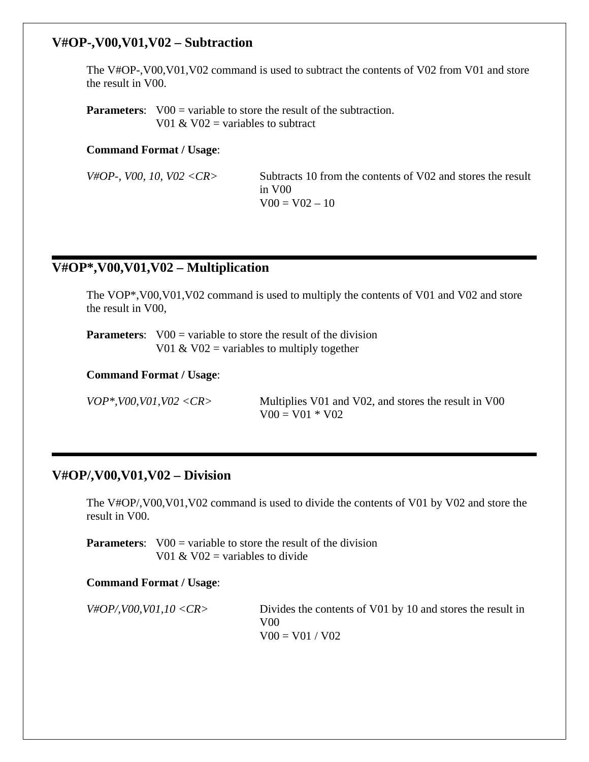# <span id="page-54-0"></span>**V#OP-,V00,V01,V02 – Subtraction**

The V#OP-,V00,V01,V02 command is used to subtract the contents of V02 from V01 and store the result in V00.

**Parameters:** V00 = variable to store the result of the subtraction. V01  $\&$  V02 = variables to subtract

#### **Command Format / Usage**:

*V#OP-, V00, 10, V02 <CR>* Subtracts 10 from the contents of V02 and stores the result in V00  $V00 = V02 - 10$ 

# **V#OP\*,V00,V01,V02 – Multiplication**

The VOP\*,V00,V01,V02 command is used to multiply the contents of V01 and V02 and store the result in V00,

**Parameters:** V00 = variable to store the result of the division V01  $\&$  V02 = variables to multiply together

#### **Command Format / Usage**:

*VOP\*, V00, V01, V02 <CR>* Multiplies V01 and V02, and stores the result in V00  $V00 = V01 * V02$ 

#### **V#OP/,V00,V01,V02 – Division**

The V#OP/,V00,V01,V02 command is used to divide the contents of V01 by V02 and store the result in V00.

**Parameters:** V00 = variable to store the result of the division V01  $\&$  V02 = variables to divide

#### **Command Format / Usage**:

*V#OP/,V00,V01,10 <CR>* Divides the contents of V01 by 10 and stores the result in V00  $V00 = V01 / V02$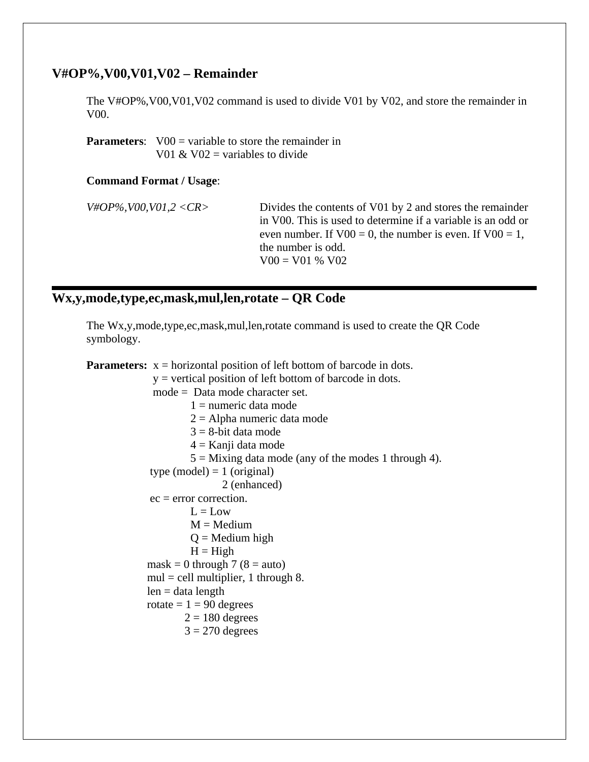# <span id="page-55-0"></span>**V#OP%,V00,V01,V02 – Remainder**

The V#OP%,V00,V01,V02 command is used to divide V01 by V02, and store the remainder in V00.

**Parameters:** V00 = variable to store the remainder in V01  $\&$  V02 = variables to divide

#### **Command Format / Usage**:

*V#OP%,V00,V01,2 <CR>* Divides the contents of V01 by 2 and stores the remainder in V00. This is used to determine if a variable is an odd or even number. If  $V00 = 0$ , the number is even. If  $V00 = 1$ , the number is odd.  $V00 = V01 % V02$ 

# **Wx,y,mode,type,ec,mask,mul,len,rotate – QR Code**

 The Wx,y,mode,type,ec,mask,mul,len,rotate command is used to create the QR Code symbology.

```
Parameters: x = horizontal position of left bottom of barcode in dots.
             y = vertical position of left bottom of barcode in dots.
              mode = Data mode character set. 
                     1 = numeric data mode
                     2 = Alpha numeric data mode
                     3 = 8-bit data mode
                     4 =Kanji data mode
                     5 = Mixing data mode (any of the modes 1 through 4).
             type (model) = 1 (original)
                             2 (enhanced) 
              ec = error correction. 
                     L = LowM = MedianQ = Medium high
                     H = Highmask = 0 through 7 (8 = auto)
            mul = cell multiplier, 1 through 8.
            len = data lengthrotate = 1 = 90 degrees
                    2 = 180 degrees
                    3 = 270 degrees
```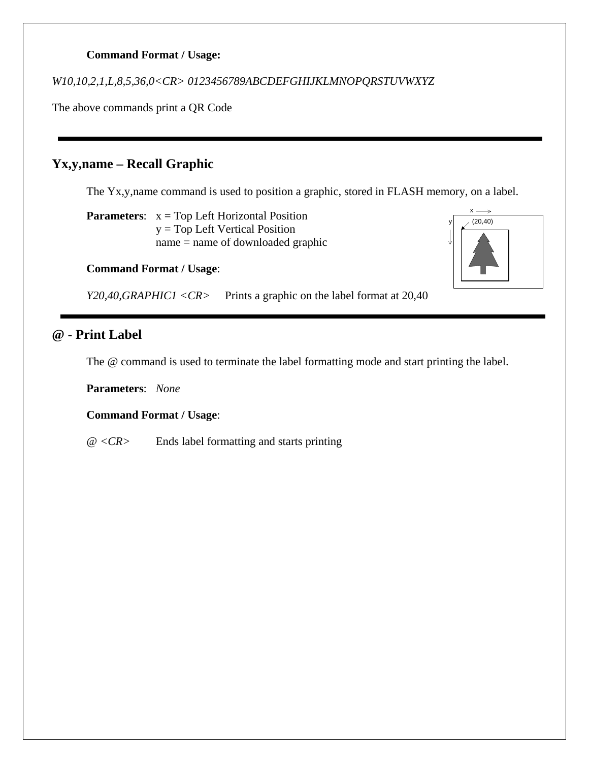#### **Command Format / Usage:**

<span id="page-56-0"></span>*W10,10,2,1,L,8,5,36,0<CR> 0123456789ABCDEFGHIJKLMNOPQRSTUVWXYZ* 

The above commands print a QR Code

# **Yx,y,name – Recall Graphic**

The Yx,y,name command is used to position a graphic, stored in FLASH memory, on a label.

**Parameters:**  $x = Top Left Horizontal Position$  y = Top Left Vertical Position name = name of downloaded graphic

**Command Format / Usage**:



*Y20,40,GRAPHIC1* <*CR*> Prints a graphic on the label format at 20,40

# **@ - Print Label**

The @ command is used to terminate the label formatting mode and start printing the label.

**Parameters**: *None* 

#### **Command Format / Usage**:

*@ <CR>* Ends label formatting and starts printing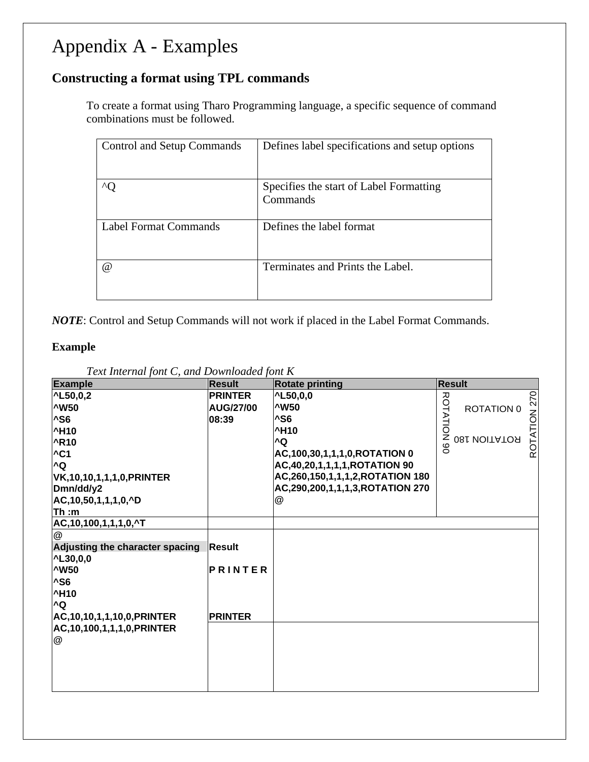# <span id="page-57-0"></span>Appendix A - Examples

# **Constructing a format using TPL commands**

To create a format using Tharo Programming language, a specific sequence of command combinations must be followed.

| <b>Control and Setup Commands</b> | Defines label specifications and setup options      |
|-----------------------------------|-----------------------------------------------------|
|                                   | Specifies the start of Label Formatting<br>Commands |
| <b>Label Format Commands</b>      | Defines the label format                            |
| @                                 | Terminates and Prints the Label.                    |

*NOTE*: Control and Setup Commands will not work if placed in the Label Format Commands.

# **Example**

*Text Internal font C, and Downloaded font K* 

| <b>Example</b>                   | <b>Result</b>    | <b>Rotate printing</b>                 | <b>Result</b>                                        |
|----------------------------------|------------------|----------------------------------------|------------------------------------------------------|
| $^{\wedge}$ L50,0,2              | <b>PRINTER</b>   | $^{\wedge}$ L50,0,0                    |                                                      |
| <b>^W50</b>                      | <b>AUG/27/00</b> | <b>^W50</b>                            | ROTATION 270<br><b>ROTATION</b><br><b>ROTATION 0</b> |
| ^S6                              | 08:39            | $^{\text{A}}$ S6                       |                                                      |
| <b>^H10</b>                      |                  | <b>^H10</b>                            |                                                      |
| <b>^R10</b>                      |                  | ۸Q                                     | 081 VOITATOR<br>8                                    |
| $^{\wedge}$ C1                   |                  | AC, 100, 30, 1, 1, 1, 0, ROTATION 0    |                                                      |
| ^Q                               |                  | AC,40,20,1,1,1,1,ROTATION 90           |                                                      |
| VK, 10, 10, 1, 1, 1, 0, PRINTER  |                  | AC, 260, 150, 1, 1, 1, 2, ROTATION 180 |                                                      |
| Dmn/dd/y2                        |                  | AC, 290, 200, 1, 1, 1, 3, ROTATION 270 |                                                      |
| AC, 10, 50, 1, 1, 1, 0, ^D       |                  | @                                      |                                                      |
| Th :m                            |                  |                                        |                                                      |
| AC, 10, 100, 1, 1, 1, 0, ^T      |                  |                                        |                                                      |
| $\circledR$                      |                  |                                        |                                                      |
| Adjusting the character spacing  | Result           |                                        |                                                      |
| $^{\wedge}$ L30,0,0              |                  |                                        |                                                      |
| <b>^W50</b>                      | PRINTER          |                                        |                                                      |
| $^{\text{A}}$ S6                 |                  |                                        |                                                      |
| <b>^H10</b>                      |                  |                                        |                                                      |
| ^Q                               |                  |                                        |                                                      |
| AC,10,10,1,1,10,0,PRINTER        | <b>PRINTER</b>   |                                        |                                                      |
| AC, 10, 100, 1, 1, 1, 0, PRINTER |                  |                                        |                                                      |
| @                                |                  |                                        |                                                      |
|                                  |                  |                                        |                                                      |
|                                  |                  |                                        |                                                      |
|                                  |                  |                                        |                                                      |
|                                  |                  |                                        |                                                      |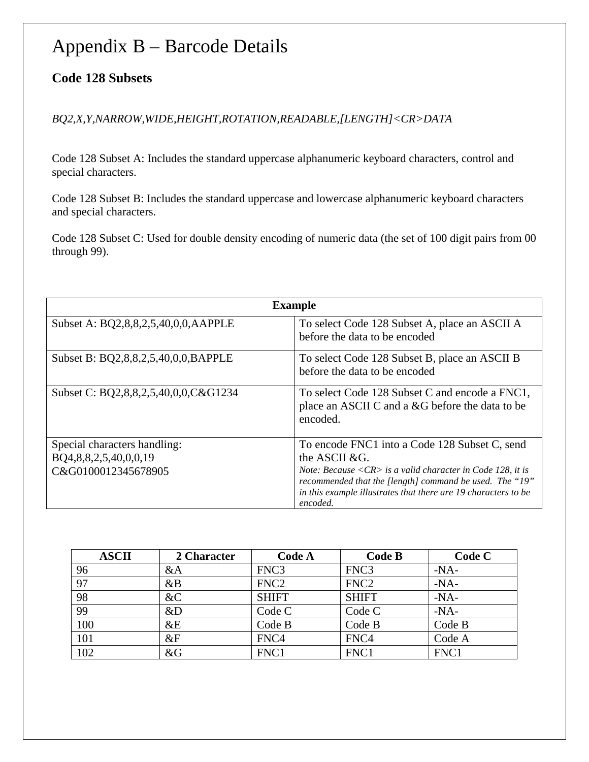# <span id="page-58-0"></span>Appendix B – Barcode Details

# **Code 128 Subsets**

# *BQ2,X,Y,NARROW,WIDE,HEIGHT,ROTATION,READABLE,[LENGTH]<CR>DATA*

Code 128 Subset A: Includes the standard uppercase alphanumeric keyboard characters, control and special characters.

Code 128 Subset B: Includes the standard uppercase and lowercase alphanumeric keyboard characters and special characters.

Code 128 Subset C: Used for double density encoding of numeric data (the set of 100 digit pairs from 00 through 99).

| <b>Example</b>                                                               |                                                                                                                                                                                                                                                                                        |  |  |  |
|------------------------------------------------------------------------------|----------------------------------------------------------------------------------------------------------------------------------------------------------------------------------------------------------------------------------------------------------------------------------------|--|--|--|
| Subset A: BQ2,8,8,2,5,40,0,0,AAPPLE                                          | To select Code 128 Subset A, place an ASCII A<br>before the data to be encoded                                                                                                                                                                                                         |  |  |  |
| Subset B: BQ2,8,8,2,5,40,0,0,BAPPLE                                          | To select Code 128 Subset B, place an ASCII B<br>before the data to be encoded                                                                                                                                                                                                         |  |  |  |
| Subset C: BQ2,8,8,2,5,40,0,0,C&G1234                                         | To select Code 128 Subset C and encode a FNC1,<br>place an ASCII C and a &G before the data to be<br>encoded.                                                                                                                                                                          |  |  |  |
| Special characters handling:<br>BQ4,8,8,2,5,40,0,0,19<br>C&G0100012345678905 | To encode FNC1 into a Code 128 Subset C, send<br>the ASCII & G.<br>Note: Because $\langle CR \rangle$ is a valid character in Code 128, it is<br>recommended that the [length] command be used. The "19"<br>in this example illustrates that there are 19 characters to be<br>encoded. |  |  |  |

| <b>ASCII</b> | 2 Character    | <b>Code A</b>    | Code B           | Code C |
|--------------|----------------|------------------|------------------|--------|
| 96           | &A             | FNC3             | FNC3             | $-NA-$ |
| 97           | &B             | FNC <sub>2</sub> | FNC <sub>2</sub> | $-NA-$ |
| 98           | & <sub>C</sub> | <b>SHIFT</b>     | <b>SHIFT</b>     | $-NA-$ |
| 99           | &D             | Code C           | Code C           | $-NA-$ |
| 100          | &E             | Code B           | Code B           | Code B |
| 101          | &F             | FNC4             | FNC4             | Code A |
| 102          | &G             | FNC1             | FNC1             | FNC1   |